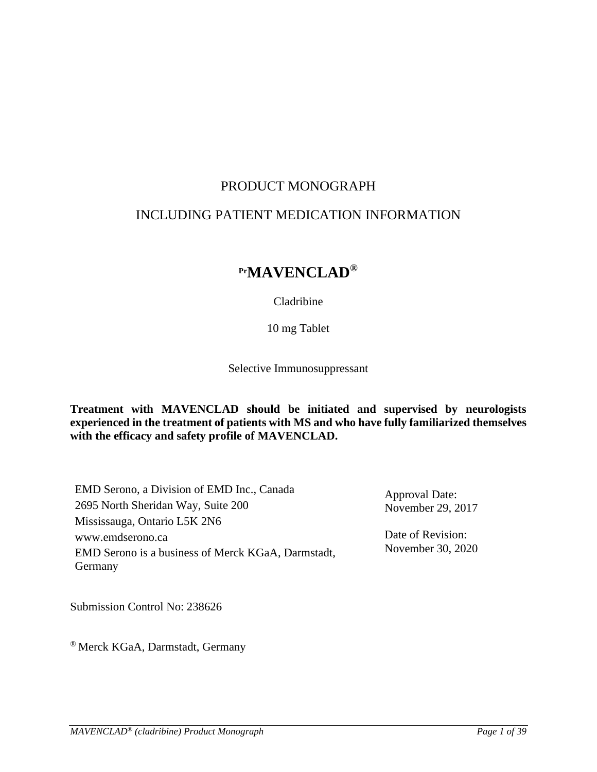# PRODUCT MONOGRAPH

# INCLUDING PATIENT MEDICATION INFORMATION

# **PrMAVENCLAD®**

Cladribine

10 mg Tablet

Selective Immunosuppressant

**Treatment with MAVENCLAD should be initiated and supervised by neurologists experienced in the treatment of patients with MS and who have fully familiarized themselves with the efficacy and safety profile of MAVENCLAD.**

EMD Serono, a Division of EMD Inc., Canada 2695 North Sheridan Way, Suite 200 Mississauga, Ontario L5K 2N6 www.emdserono.ca EMD Serono is a business of Merck KGaA, Darmstadt, Germany

Approval Date: November 29, 2017

Date of Revision: November 30, 2020

Submission Control No: 238626

® Merck KGaA, Darmstadt, Germany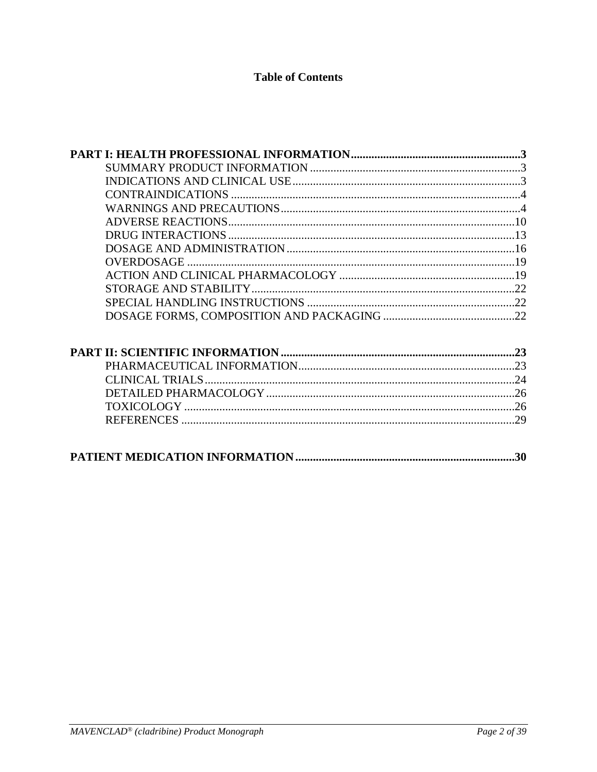# **Table of Contents**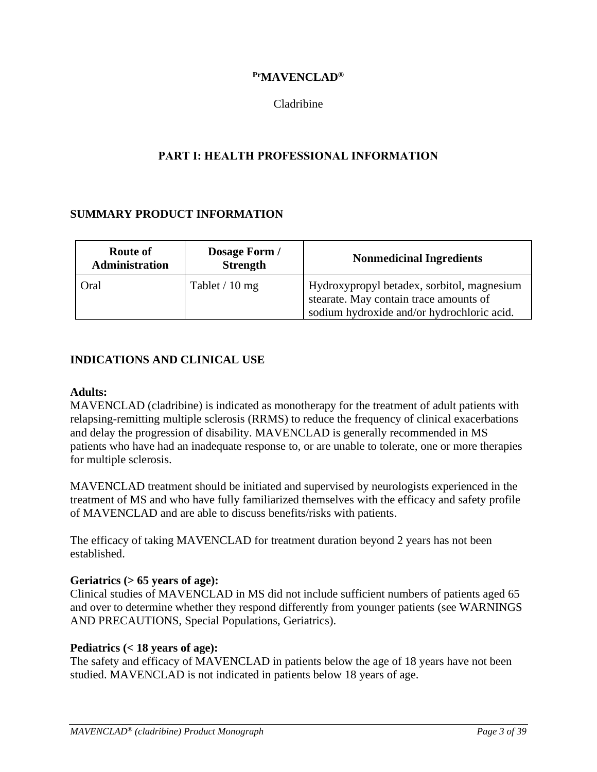# **PrMAVENCLAD®**

# Cladribine

# **PART I: HEALTH PROFESSIONAL INFORMATION**

# <span id="page-2-1"></span><span id="page-2-0"></span>**SUMMARY PRODUCT INFORMATION**

| <b>Route of</b><br>Administration | Dosage Form /<br><b>Strength</b> | <b>Nonmedicinal Ingredients</b>                                                                                                    |
|-----------------------------------|----------------------------------|------------------------------------------------------------------------------------------------------------------------------------|
| Oral                              | Tablet $/10$ mg                  | Hydroxypropyl betadex, sorbitol, magnesium<br>stearate. May contain trace amounts of<br>sodium hydroxide and/or hydrochloric acid. |

# <span id="page-2-2"></span>**INDICATIONS AND CLINICAL USE**

#### **Adults:**

MAVENCLAD (cladribine) is indicated as monotherapy for the treatment of adult patients with relapsing-remitting multiple sclerosis (RRMS) to reduce the frequency of clinical exacerbations and delay the progression of disability. MAVENCLAD is generally recommended in MS patients who have had an inadequate response to, or are unable to tolerate, one or more therapies for multiple sclerosis.

MAVENCLAD treatment should be initiated and supervised by neurologists experienced in the treatment of MS and who have fully familiarized themselves with the efficacy and safety profile of MAVENCLAD and are able to discuss benefits/risks with patients.

The efficacy of taking MAVENCLAD for treatment duration beyond 2 years has not been established.

### **Geriatrics (> 65 years of age):**

Clinical studies of MAVENCLAD in MS did not include sufficient numbers of patients aged 65 and over to determine whether they respond differently from younger patients (see WARNINGS AND PRECAUTIONS, Special Populations, Geriatrics).

### **Pediatrics (< 18 years of age):**

The safety and efficacy of MAVENCLAD in patients below the age of 18 years have not been studied. MAVENCLAD is not indicated in patients below 18 years of age.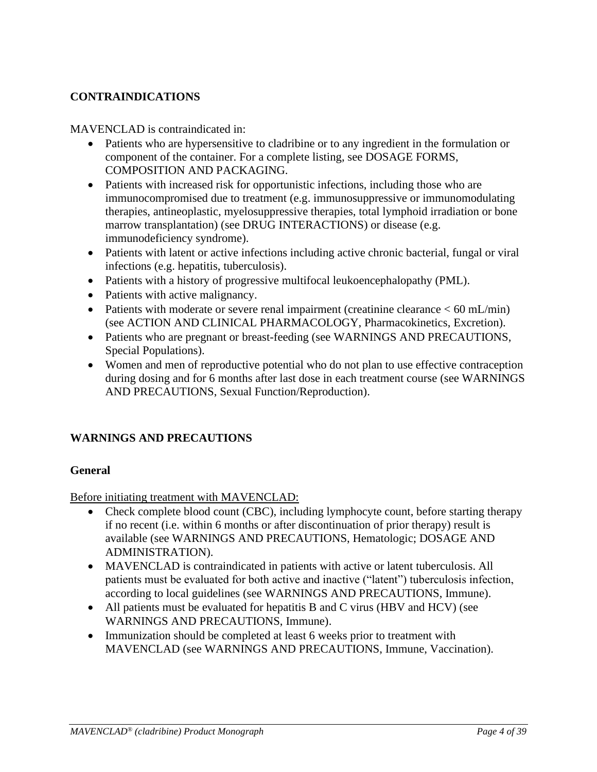# <span id="page-3-0"></span>**CONTRAINDICATIONS**

# MAVENCLAD is contraindicated in:

- Patients who are hypersensitive to cladribine or to any ingredient in the formulation or component of the container. For a complete listing, see DOSAGE FORMS, COMPOSITION AND PACKAGING.
- Patients with increased risk for opportunistic infections, including those who are immunocompromised due to treatment (e.g. immunosuppressive or immunomodulating therapies, antineoplastic, myelosuppressive therapies, total lymphoid irradiation or bone marrow transplantation) (see DRUG INTERACTIONS) or disease (e.g. immunodeficiency syndrome).
- Patients with latent or active infections including active chronic bacterial, fungal or viral infections (e.g. hepatitis, tuberculosis).
- Patients with a history of progressive multifocal leukoencephalopathy (PML).
- Patients with active malignancy.
- Patients with moderate or severe renal impairment (creatinine clearance < 60 mL/min) (see ACTION AND CLINICAL PHARMACOLOGY, Pharmacokinetics, Excretion).
- Patients who are pregnant or breast-feeding (see WARNINGS AND PRECAUTIONS, Special Populations).
- Women and men of reproductive potential who do not plan to use effective contraception during dosing and for 6 months after last dose in each treatment course (see WARNINGS AND PRECAUTIONS, Sexual Function/Reproduction).

# <span id="page-3-1"></span>**WARNINGS AND PRECAUTIONS**

# **General**

Before initiating treatment with MAVENCLAD:

- Check complete blood count (CBC), including lymphocyte count, before starting therapy if no recent (i.e. within 6 months or after discontinuation of prior therapy) result is available (see WARNINGS AND PRECAUTIONS, Hematologic; DOSAGE AND ADMINISTRATION).
- MAVENCLAD is contraindicated in patients with active or latent tuberculosis. All patients must be evaluated for both active and inactive ("latent") tuberculosis infection, according to local guidelines (see WARNINGS AND PRECAUTIONS, Immune).
- All patients must be evaluated for hepatitis B and C virus (HBV and HCV) (see WARNINGS AND PRECAUTIONS, Immune).
- Immunization should be completed at least 6 weeks prior to treatment with MAVENCLAD (see WARNINGS AND PRECAUTIONS, Immune, Vaccination).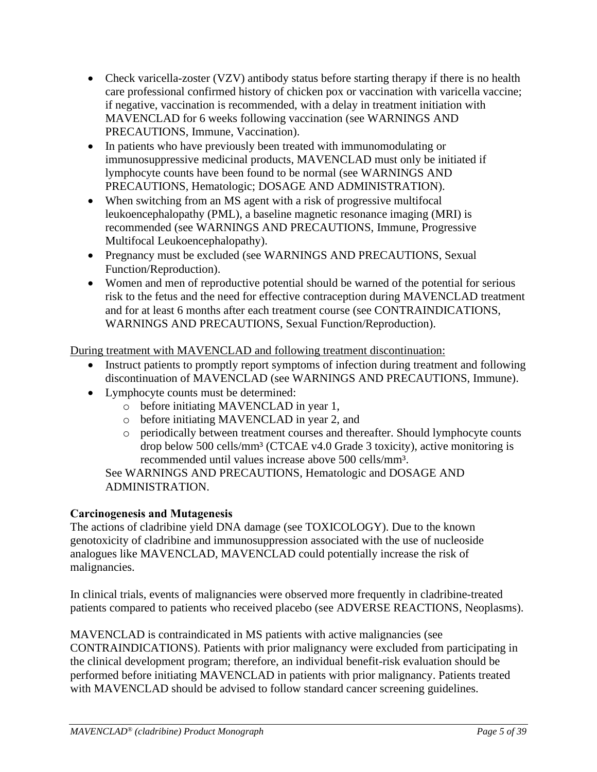- Check varicella-zoster (VZV) antibody status before starting therapy if there is no health care professional confirmed history of chicken pox or vaccination with varicella vaccine; if negative, vaccination is recommended, with a delay in treatment initiation with MAVENCLAD for 6 weeks following vaccination (see WARNINGS AND PRECAUTIONS, Immune, Vaccination).
- In patients who have previously been treated with immunomodulating or immunosuppressive medicinal products, MAVENCLAD must only be initiated if lymphocyte counts have been found to be normal (see WARNINGS AND PRECAUTIONS, Hematologic; DOSAGE AND ADMINISTRATION).
- When switching from an MS agent with a risk of progressive multifocal leukoencephalopathy (PML), a baseline magnetic resonance imaging (MRI) is recommended (see WARNINGS AND PRECAUTIONS, Immune, Progressive Multifocal Leukoencephalopathy).
- Pregnancy must be excluded (see WARNINGS AND PRECAUTIONS, Sexual Function/Reproduction).
- Women and men of reproductive potential should be warned of the potential for serious risk to the fetus and the need for effective contraception during MAVENCLAD treatment and for at least 6 months after each treatment course (see CONTRAINDICATIONS, WARNINGS AND PRECAUTIONS, Sexual Function/Reproduction).

During treatment with MAVENCLAD and following treatment discontinuation:

- Instruct patients to promptly report symptoms of infection during treatment and following discontinuation of MAVENCLAD (see WARNINGS AND PRECAUTIONS, Immune).
- Lymphocyte counts must be determined:
	- o before initiating MAVENCLAD in year 1,
	- o before initiating MAVENCLAD in year 2, and
	- o periodically between treatment courses and thereafter. Should lymphocyte counts drop below 500 cells/mm³ (CTCAE v4.0 Grade 3 toxicity), active monitoring is recommended until values increase above 500 cells/mm³.

See WARNINGS AND PRECAUTIONS, Hematologic and DOSAGE AND ADMINISTRATION.

# **Carcinogenesis and Mutagenesis**

The actions of cladribine yield DNA damage (see TOXICOLOGY). Due to the known genotoxicity of cladribine and immunosuppression associated with the use of nucleoside analogues like MAVENCLAD, MAVENCLAD could potentially increase the risk of malignancies.

In clinical trials, events of malignancies were observed more frequently in cladribine-treated patients compared to patients who received placebo (see ADVERSE REACTIONS, Neoplasms).

MAVENCLAD is contraindicated in MS patients with active malignancies (see CONTRAINDICATIONS). Patients with prior malignancy were excluded from participating in the clinical development program; therefore, an individual benefit-risk evaluation should be performed before initiating MAVENCLAD in patients with prior malignancy. Patients treated with MAVENCLAD should be advised to follow standard cancer screening guidelines.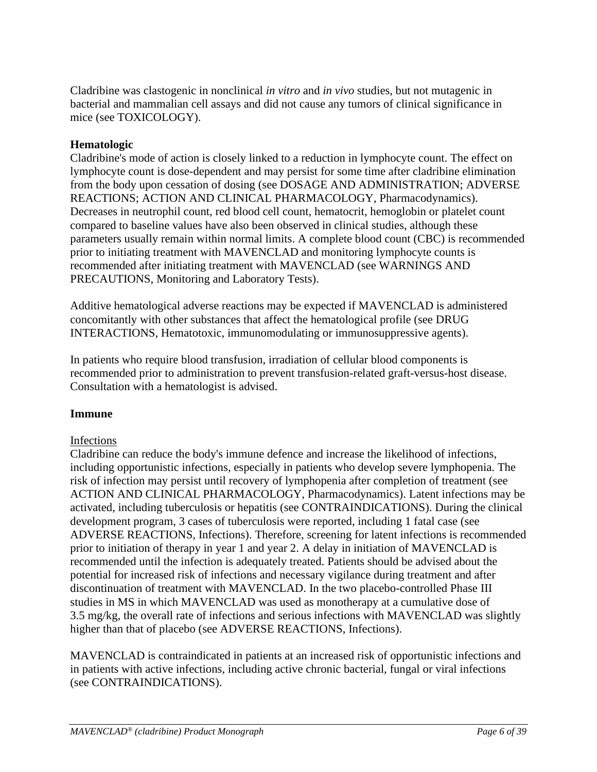Cladribine was clastogenic in nonclinical *in vitro* and *in vivo* studies, but not mutagenic in bacterial and mammalian cell assays and did not cause any tumors of clinical significance in mice (see TOXICOLOGY).

# **Hematologic**

Cladribine's mode of action is closely linked to a reduction in lymphocyte count. The effect on lymphocyte count is dose-dependent and may persist for some time after cladribine elimination from the body upon cessation of dosing (see DOSAGE AND ADMINISTRATION; ADVERSE REACTIONS; ACTION AND CLINICAL PHARMACOLOGY, Pharmacodynamics). Decreases in neutrophil count, red blood cell count, hematocrit, hemoglobin or platelet count compared to baseline values have also been observed in clinical studies, although these parameters usually remain within normal limits. A complete blood count (CBC) is recommended prior to initiating treatment with MAVENCLAD and monitoring lymphocyte counts is recommended after initiating treatment with MAVENCLAD (see WARNINGS AND PRECAUTIONS, Monitoring and Laboratory Tests).

Additive hematological adverse reactions may be expected if MAVENCLAD is administered concomitantly with other substances that affect the hematological profile (see DRUG INTERACTIONS, Hematotoxic, immunomodulating or immunosuppressive agents).

In patients who require blood transfusion, irradiation of cellular blood components is recommended prior to administration to prevent transfusion-related graft-versus-host disease. Consultation with a hematologist is advised.

# **Immune**

# Infections

Cladribine can reduce the body's immune defence and increase the likelihood of infections, including opportunistic infections, especially in patients who develop severe lymphopenia. The risk of infection may persist until recovery of lymphopenia after completion of treatment (see ACTION AND CLINICAL PHARMACOLOGY, Pharmacodynamics). Latent infections may be activated, including tuberculosis or hepatitis (see CONTRAINDICATIONS). During the clinical development program, 3 cases of tuberculosis were reported, including 1 fatal case (see ADVERSE REACTIONS, Infections). Therefore, screening for latent infections is recommended prior to initiation of therapy in year 1 and year 2. A delay in initiation of MAVENCLAD is recommended until the infection is adequately treated. Patients should be advised about the potential for increased risk of infections and necessary vigilance during treatment and after discontinuation of treatment with MAVENCLAD. In the two placebo-controlled Phase III studies in MS in which MAVENCLAD was used as monotherapy at a cumulative dose of 3.5 mg/kg, the overall rate of infections and serious infections with MAVENCLAD was slightly higher than that of placebo (see ADVERSE REACTIONS, Infections).

MAVENCLAD is contraindicated in patients at an increased risk of opportunistic infections and in patients with active infections, including active chronic bacterial, fungal or viral infections (see CONTRAINDICATIONS).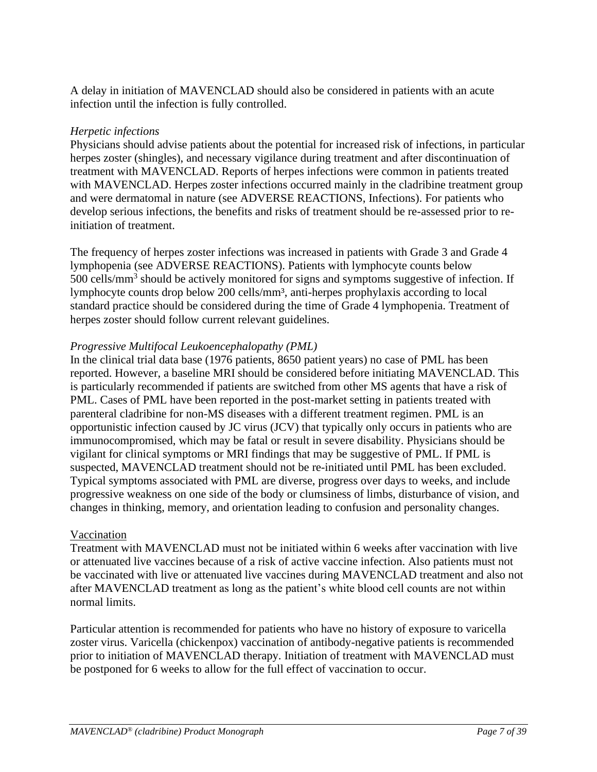A delay in initiation of MAVENCLAD should also be considered in patients with an acute infection until the infection is fully controlled.

# *Herpetic infections*

Physicians should advise patients about the potential for increased risk of infections, in particular herpes zoster (shingles), and necessary vigilance during treatment and after discontinuation of treatment with MAVENCLAD. Reports of herpes infections were common in patients treated with MAVENCLAD. Herpes zoster infections occurred mainly in the cladribine treatment group and were dermatomal in nature (see ADVERSE REACTIONS, Infections). For patients who develop serious infections, the benefits and risks of treatment should be re-assessed prior to reinitiation of treatment.

The frequency of herpes zoster infections was increased in patients with Grade 3 and Grade 4 lymphopenia (see ADVERSE REACTIONS). Patients with lymphocyte counts below 500 cells/mm<sup>3</sup> should be actively monitored for signs and symptoms suggestive of infection. If lymphocyte counts drop below 200 cells/mm³, anti-herpes prophylaxis according to local standard practice should be considered during the time of Grade 4 lymphopenia. Treatment of herpes zoster should follow current relevant guidelines.

# *Progressive Multifocal Leukoencephalopathy (PML)*

In the clinical trial data base (1976 patients, 8650 patient years) no case of PML has been reported. However, a baseline MRI should be considered before initiating MAVENCLAD. This is particularly recommended if patients are switched from other MS agents that have a risk of PML. Cases of PML have been reported in the post-market setting in patients treated with parenteral cladribine for non-MS diseases with a different treatment regimen. PML is an opportunistic infection caused by JC virus (JCV) that typically only occurs in patients who are immunocompromised, which may be fatal or result in severe disability. Physicians should be vigilant for clinical symptoms or MRI findings that may be suggestive of PML. If PML is suspected, MAVENCLAD treatment should not be re-initiated until PML has been excluded. Typical symptoms associated with PML are diverse, progress over days to weeks, and include progressive weakness on one side of the body or clumsiness of limbs, disturbance of vision, and changes in thinking, memory, and orientation leading to confusion and personality changes.

# Vaccination

Treatment with MAVENCLAD must not be initiated within 6 weeks after vaccination with live or attenuated live vaccines because of a risk of active vaccine infection. Also patients must not be vaccinated with live or attenuated live vaccines during MAVENCLAD treatment and also not after MAVENCLAD treatment as long as the patient's white blood cell counts are not within normal limits.

Particular attention is recommended for patients who have no history of exposure to varicella zoster virus. Varicella (chickenpox) vaccination of antibody-negative patients is recommended prior to initiation of MAVENCLAD therapy. Initiation of treatment with MAVENCLAD must be postponed for 6 weeks to allow for the full effect of vaccination to occur.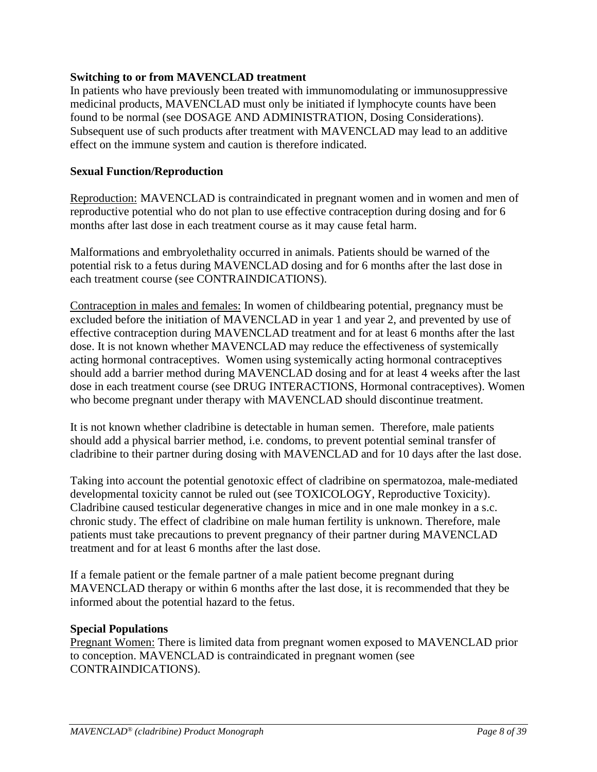# **Switching to or from MAVENCLAD treatment**

In patients who have previously been treated with immunomodulating or immunosuppressive medicinal products, MAVENCLAD must only be initiated if lymphocyte counts have been found to be normal (see DOSAGE AND ADMINISTRATION, Dosing Considerations). Subsequent use of such products after treatment with MAVENCLAD may lead to an additive effect on the immune system and caution is therefore indicated.

# **Sexual Function/Reproduction**

Reproduction: MAVENCLAD is contraindicated in pregnant women and in women and men of reproductive potential who do not plan to use effective contraception during dosing and for 6 months after last dose in each treatment course as it may cause fetal harm.

Malformations and embryolethality occurred in animals. Patients should be warned of the potential risk to a fetus during MAVENCLAD dosing and for 6 months after the last dose in each treatment course (see CONTRAINDICATIONS).

Contraception in males and females: In women of childbearing potential, pregnancy must be excluded before the initiation of MAVENCLAD in year 1 and year 2, and prevented by use of effective contraception during MAVENCLAD treatment and for at least 6 months after the last dose. It is not known whether MAVENCLAD may reduce the effectiveness of systemically acting hormonal contraceptives. Women using systemically acting hormonal contraceptives should add a barrier method during MAVENCLAD dosing and for at least 4 weeks after the last dose in each treatment course (see DRUG INTERACTIONS, Hormonal contraceptives). Women who become pregnant under therapy with MAVENCLAD should discontinue treatment.

It is not known whether cladribine is detectable in human semen. Therefore, male patients should add a physical barrier method, i.e. condoms, to prevent potential seminal transfer of cladribine to their partner during dosing with MAVENCLAD and for 10 days after the last dose.

Taking into account the potential genotoxic effect of cladribine on spermatozoa, male-mediated developmental toxicity cannot be ruled out (see TOXICOLOGY, Reproductive Toxicity). Cladribine caused testicular degenerative changes in mice and in one male monkey in a s.c. chronic study. The effect of cladribine on male human fertility is unknown. Therefore, male patients must take precautions to prevent pregnancy of their partner during MAVENCLAD treatment and for at least 6 months after the last dose.

If a female patient or the female partner of a male patient become pregnant during MAVENCLAD therapy or within 6 months after the last dose, it is recommended that they be informed about the potential hazard to the fetus.

# **Special Populations**

Pregnant Women: There is limited data from pregnant women exposed to MAVENCLAD prior to conception. MAVENCLAD is contraindicated in pregnant women (see CONTRAINDICATIONS).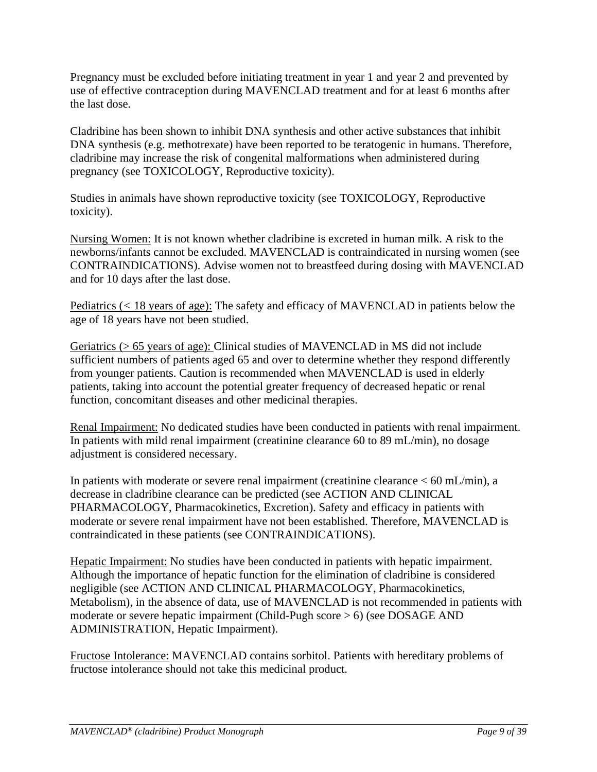Pregnancy must be excluded before initiating treatment in year 1 and year 2 and prevented by use of effective contraception during MAVENCLAD treatment and for at least 6 months after the last dose.

Cladribine has been shown to inhibit DNA synthesis and other active substances that inhibit DNA synthesis (e.g. methotrexate) have been reported to be teratogenic in humans. Therefore, cladribine may increase the risk of congenital malformations when administered during pregnancy (see TOXICOLOGY, Reproductive toxicity).

Studies in animals have shown reproductive toxicity (see TOXICOLOGY, Reproductive toxicity).

Nursing Women: It is not known whether cladribine is excreted in human milk. A risk to the newborns/infants cannot be excluded. MAVENCLAD is contraindicated in nursing women (see CONTRAINDICATIONS). Advise women not to breastfeed during dosing with MAVENCLAD and for 10 days after the last dose.

Pediatrics (*<* 18 years of age): The safety and efficacy of MAVENCLAD in patients below the age of 18 years have not been studied.

Geriatrics (> 65 years of age): Clinical studies of MAVENCLAD in MS did not include sufficient numbers of patients aged 65 and over to determine whether they respond differently from younger patients. Caution is recommended when MAVENCLAD is used in elderly patients, taking into account the potential greater frequency of decreased hepatic or renal function, concomitant diseases and other medicinal therapies.

Renal Impairment: No dedicated studies have been conducted in patients with renal impairment. In patients with mild renal impairment (creatinine clearance 60 to 89 mL/min), no dosage adjustment is considered necessary.

In patients with moderate or severe renal impairment (creatinine clearance  $< 60$  mL/min), a decrease in cladribine clearance can be predicted (see ACTION AND CLINICAL PHARMACOLOGY, Pharmacokinetics, Excretion). Safety and efficacy in patients with moderate or severe renal impairment have not been established. Therefore, MAVENCLAD is contraindicated in these patients (see CONTRAINDICATIONS).

Hepatic Impairment: No studies have been conducted in patients with hepatic impairment. Although the importance of hepatic function for the elimination of cladribine is considered negligible (see ACTION AND CLINICAL PHARMACOLOGY, Pharmacokinetics, Metabolism), in the absence of data, use of MAVENCLAD is not recommended in patients with moderate or severe hepatic impairment (Child-Pugh score > 6) (see DOSAGE AND ADMINISTRATION, Hepatic Impairment).

Fructose Intolerance: MAVENCLAD contains sorbitol. Patients with hereditary problems of fructose intolerance should not take this medicinal product.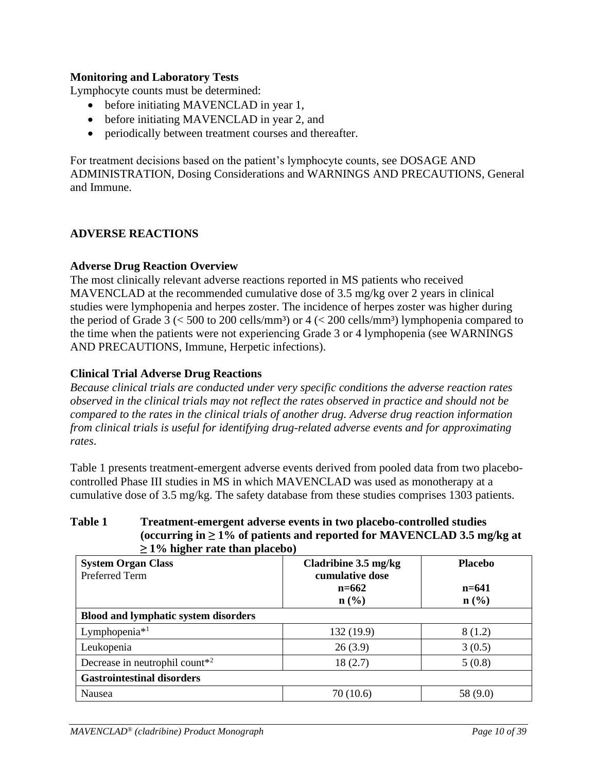# **Monitoring and Laboratory Tests**

Lymphocyte counts must be determined:

- before initiating MAVENCLAD in year 1,
- before initiating MAVENCLAD in year 2, and
- periodically between treatment courses and thereafter.

For treatment decisions based on the patient's lymphocyte counts, see DOSAGE AND ADMINISTRATION, Dosing Considerations and WARNINGS AND PRECAUTIONS, General and Immune.

### <span id="page-9-0"></span>**ADVERSE REACTIONS**

### **Adverse Drug Reaction Overview**

The most clinically relevant adverse reactions reported in MS patients who received MAVENCLAD at the recommended cumulative dose of 3.5 mg/kg over 2 years in clinical studies were lymphopenia and herpes zoster. The incidence of herpes zoster was higher during the period of Grade 3 ( $\lt$  500 to 200 cells/mm<sup>3</sup>) or 4 ( $\lt$  200 cells/mm<sup>3</sup>) lymphopenia compared to the time when the patients were not experiencing Grade 3 or 4 lymphopenia (see WARNINGS AND PRECAUTIONS, Immune, Herpetic infections).

### **Clinical Trial Adverse Drug Reactions**

*Because clinical trials are conducted under very specific conditions the adverse reaction rates observed in the clinical trials may not reflect the rates observed in practice and should not be compared to the rates in the clinical trials of another drug. Adverse drug reaction information from clinical trials is useful for identifying drug-related adverse events and for approximating rates*.

Table 1 presents treatment-emergent adverse events derived from pooled data from two placebocontrolled Phase III studies in MS in which MAVENCLAD was used as monotherapy at a cumulative dose of 3.5 mg/kg. The safety database from these studies comprises 1303 patients.

# **Table 1 Treatment-emergent adverse events in two placebo-controlled studies (occurring in ≥ 1% of patients and reported for MAVENCLAD 3.5 mg/kg at ≥ 1% higher rate than placebo)**

| <b>System Organ Class</b>                               | Cladribine 3.5 mg/kg | <b>Placebo</b>              |
|---------------------------------------------------------|----------------------|-----------------------------|
| <b>Preferred Term</b>                                   | cumulative dose      |                             |
|                                                         | $n = 662$            | $n = 641$                   |
|                                                         | $\mathbf{n}(\%)$     | $n\left(\frac{0}{0}\right)$ |
| <b>Blood and lymphatic system disorders</b>             |                      |                             |
| Lymphopenia $*$ <sup>1</sup>                            | 132 (19.9)           | 8(1.2)                      |
| Leukopenia                                              | 26(3.9)              | 3(0.5)                      |
| Decrease in neutrophil count <sup><math>*</math>2</sup> | 18(2.7)              | 5(0.8)                      |
| <b>Gastrointestinal disorders</b>                       |                      |                             |
| Nausea                                                  | 70 (10.6)            | 58 (9.0)                    |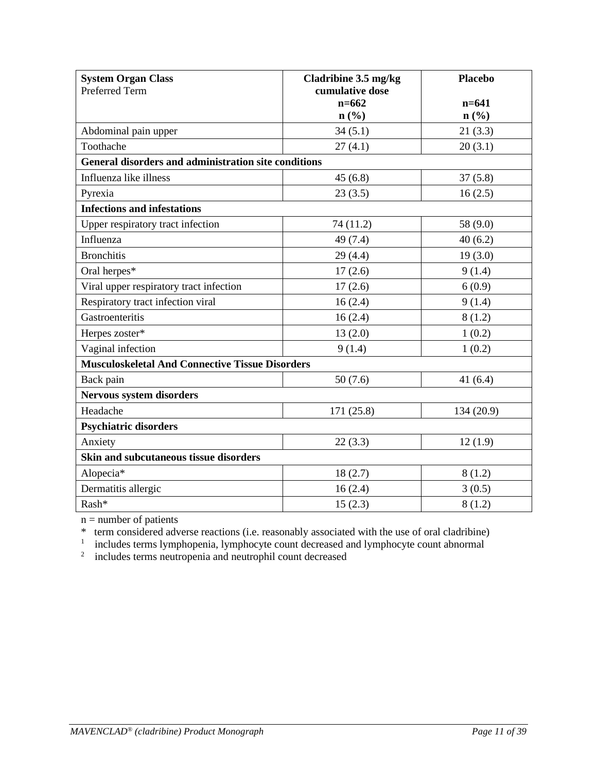| <b>System Organ Class</b>                              | Cladribine 3.5 mg/kg         | <b>Placebo</b>              |
|--------------------------------------------------------|------------------------------|-----------------------------|
| <b>Preferred Term</b>                                  | cumulative dose<br>$n = 662$ | $n = 641$                   |
|                                                        | $n\left(\frac{9}{6}\right)$  | $n\left(\frac{0}{0}\right)$ |
| Abdominal pain upper                                   | 34(5.1)                      | 21(3.3)                     |
| Toothache                                              | 27(4.1)                      | 20(3.1)                     |
| General disorders and administration site conditions   |                              |                             |
| Influenza like illness                                 | 45(6.8)                      | 37(5.8)                     |
| Pyrexia                                                | 23(3.5)                      | 16(2.5)                     |
| <b>Infections and infestations</b>                     |                              |                             |
| Upper respiratory tract infection                      | 74 (11.2)                    | 58 (9.0)                    |
| Influenza                                              | 49 (7.4)                     | 40(6.2)                     |
| <b>Bronchitis</b>                                      | 29(4.4)                      | 19(3.0)                     |
| Oral herpes*                                           | 17(2.6)                      | 9(1.4)                      |
| Viral upper respiratory tract infection                | 17(2.6)                      | 6(0.9)                      |
| Respiratory tract infection viral                      | 16(2.4)                      | 9(1.4)                      |
| Gastroenteritis                                        | 16(2.4)                      | 8(1.2)                      |
| Herpes zoster*                                         | 13(2.0)                      | 1(0.2)                      |
| Vaginal infection                                      | 9(1.4)                       | 1(0.2)                      |
| <b>Musculoskeletal And Connective Tissue Disorders</b> |                              |                             |
| Back pain                                              | 50(7.6)                      | 41 $(6.4)$                  |
| <b>Nervous system disorders</b>                        |                              |                             |
| Headache                                               | 171 (25.8)                   | 134 (20.9)                  |
| <b>Psychiatric disorders</b>                           |                              |                             |
| Anxiety                                                | 22(3.3)                      | 12(1.9)                     |
| Skin and subcutaneous tissue disorders                 |                              |                             |
| Alopecia*                                              | 18(2.7)                      | 8(1.2)                      |
| Dermatitis allergic                                    | 16(2.4)                      | 3(0.5)                      |
| Rash*                                                  | 15(2.3)                      | 8(1.2)                      |

 $n =$  number of patients

<sup>\*</sup> term considered adverse reactions (i.e. reasonably associated with the use of oral cladribine)<br>includes terms lymphopenia, lymphocyte count decreased and lymphocyte count abnormal<br>includes terms neutropenia and neutrop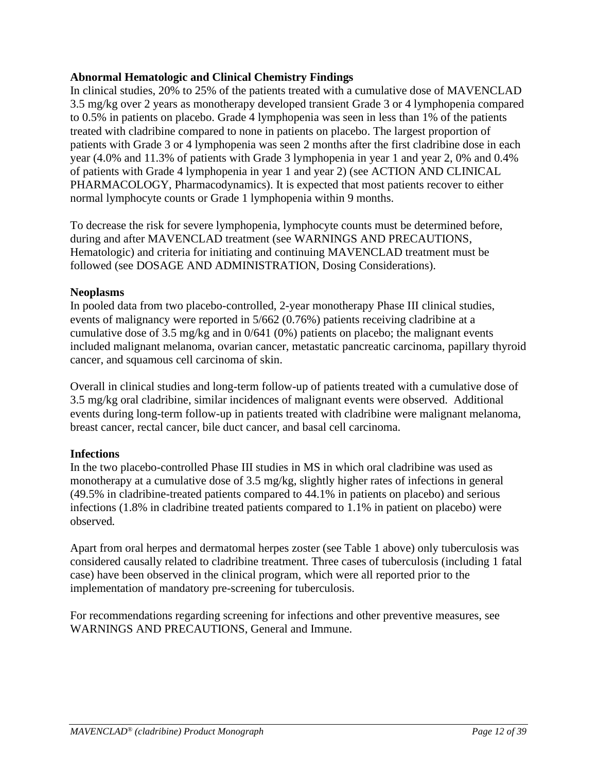# **Abnormal Hematologic and Clinical Chemistry Findings**

In clinical studies, 20% to 25% of the patients treated with a cumulative dose of MAVENCLAD 3.5 mg/kg over 2 years as monotherapy developed transient Grade 3 or 4 lymphopenia compared to 0.5% in patients on placebo. Grade 4 lymphopenia was seen in less than 1% of the patients treated with cladribine compared to none in patients on placebo. The largest proportion of patients with Grade 3 or 4 lymphopenia was seen 2 months after the first cladribine dose in each year (4.0% and 11.3% of patients with Grade 3 lymphopenia in year 1 and year 2, 0% and 0.4% of patients with Grade 4 lymphopenia in year 1 and year 2) (see ACTION AND CLINICAL PHARMACOLOGY, Pharmacodynamics). It is expected that most patients recover to either normal lymphocyte counts or Grade 1 lymphopenia within 9 months.

To decrease the risk for severe lymphopenia, lymphocyte counts must be determined before, during and after MAVENCLAD treatment (see WARNINGS AND PRECAUTIONS, Hematologic) and criteria for initiating and continuing MAVENCLAD treatment must be followed (see DOSAGE AND ADMINISTRATION, Dosing Considerations).

# **Neoplasms**

In pooled data from two placebo-controlled, 2-year monotherapy Phase III clinical studies, events of malignancy were reported in 5/662 (0.76%) patients receiving cladribine at a cumulative dose of 3.5 mg/kg and in 0/641 (0%) patients on placebo; the malignant events included malignant melanoma, ovarian cancer, metastatic pancreatic carcinoma, papillary thyroid cancer, and squamous cell carcinoma of skin.

Overall in clinical studies and long-term follow-up of patients treated with a cumulative dose of 3.5 mg/kg oral cladribine, similar incidences of malignant events were observed. Additional events during long-term follow-up in patients treated with cladribine were malignant melanoma, breast cancer, rectal cancer, bile duct cancer, and basal cell carcinoma.

# **Infections**

In the two placebo-controlled Phase III studies in MS in which oral cladribine was used as monotherapy at a cumulative dose of 3.5 mg/kg, slightly higher rates of infections in general (49.5% in cladribine-treated patients compared to 44.1% in patients on placebo) and serious infections (1.8% in cladribine treated patients compared to 1.1% in patient on placebo) were observed*.*

Apart from oral herpes and dermatomal herpes zoster (see Table 1 above) only tuberculosis was considered causally related to cladribine treatment. Three cases of tuberculosis (including 1 fatal case) have been observed in the clinical program, which were all reported prior to the implementation of mandatory pre-screening for tuberculosis.

For recommendations regarding screening for infections and other preventive measures, see WARNINGS AND PRECAUTIONS, General and Immune.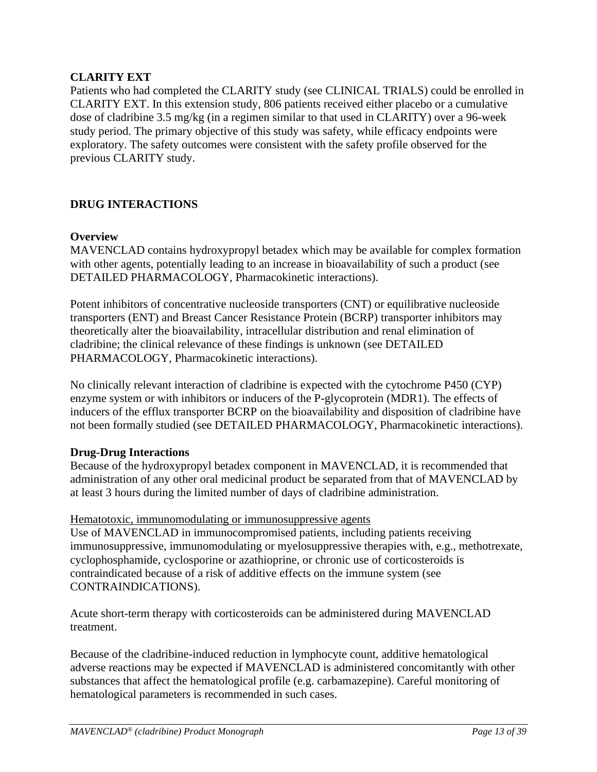# **CLARITY EXT**

Patients who had completed the CLARITY study (see CLINICAL TRIALS) could be enrolled in CLARITY EXT. In this extension study, 806 patients received either placebo or a cumulative dose of cladribine 3.5 mg/kg (in a regimen similar to that used in CLARITY) over a 96-week study period. The primary objective of this study was safety, while efficacy endpoints were exploratory. The safety outcomes were consistent with the safety profile observed for the previous CLARITY study.

# <span id="page-12-0"></span>**DRUG INTERACTIONS**

# **Overview**

MAVENCLAD contains hydroxypropyl betadex which may be available for complex formation with other agents, potentially leading to an increase in bioavailability of such a product (see DETAILED PHARMACOLOGY, Pharmacokinetic interactions).

Potent inhibitors of concentrative nucleoside transporters (CNT) or equilibrative nucleoside transporters (ENT) and Breast Cancer Resistance Protein (BCRP) transporter inhibitors may theoretically alter the bioavailability, intracellular distribution and renal elimination of cladribine; the clinical relevance of these findings is unknown (see DETAILED PHARMACOLOGY, Pharmacokinetic interactions).

No clinically relevant interaction of cladribine is expected with the cytochrome P450 (CYP) enzyme system or with inhibitors or inducers of the P-glycoprotein (MDR1). The effects of inducers of the efflux transporter BCRP on the bioavailability and disposition of cladribine have not been formally studied (see DETAILED PHARMACOLOGY, Pharmacokinetic interactions).

# **Drug-Drug Interactions**

Because of the hydroxypropyl betadex component in MAVENCLAD, it is recommended that administration of any other oral medicinal product be separated from that of MAVENCLAD by at least 3 hours during the limited number of days of cladribine administration.

### Hematotoxic, immunomodulating or immunosuppressive agents

Use of MAVENCLAD in immunocompromised patients, including patients receiving immunosuppressive, immunomodulating or myelosuppressive therapies with, e.g., methotrexate, cyclophosphamide, cyclosporine or azathioprine, or chronic use of corticosteroids is contraindicated because of a risk of additive effects on the immune system (see CONTRAINDICATIONS).

Acute short-term therapy with corticosteroids can be administered during MAVENCLAD treatment.

Because of the cladribine-induced reduction in lymphocyte count, additive hematological adverse reactions may be expected if MAVENCLAD is administered concomitantly with other substances that affect the hematological profile (e.g. carbamazepine). Careful monitoring of hematological parameters is recommended in such cases.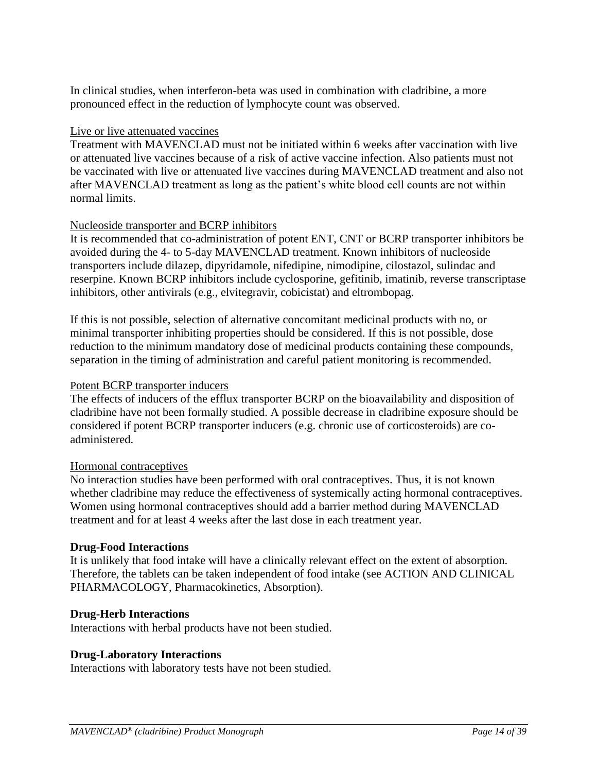In clinical studies, when interferon-beta was used in combination with cladribine, a more pronounced effect in the reduction of lymphocyte count was observed.

### Live or live attenuated vaccines

Treatment with MAVENCLAD must not be initiated within 6 weeks after vaccination with live or attenuated live vaccines because of a risk of active vaccine infection. Also patients must not be vaccinated with live or attenuated live vaccines during MAVENCLAD treatment and also not after MAVENCLAD treatment as long as the patient's white blood cell counts are not within normal limits.

### Nucleoside transporter and BCRP inhibitors

It is recommended that co-administration of potent ENT, CNT or BCRP transporter inhibitors be avoided during the 4- to 5-day MAVENCLAD treatment. Known inhibitors of nucleoside transporters include dilazep, dipyridamole, nifedipine, nimodipine, cilostazol, sulindac and reserpine. Known BCRP inhibitors include cyclosporine, gefitinib, imatinib, reverse transcriptase inhibitors, other antivirals (e.g., elvitegravir, cobicistat) and eltrombopag.

If this is not possible, selection of alternative concomitant medicinal products with no, or minimal transporter inhibiting properties should be considered. If this is not possible, dose reduction to the minimum mandatory dose of medicinal products containing these compounds, separation in the timing of administration and careful patient monitoring is recommended.

### Potent BCRP transporter inducers

The effects of inducers of the efflux transporter BCRP on the bioavailability and disposition of cladribine have not been formally studied. A possible decrease in cladribine exposure should be considered if potent BCRP transporter inducers (e.g. chronic use of corticosteroids) are coadministered.

### Hormonal contraceptives

No interaction studies have been performed with oral contraceptives. Thus, it is not known whether cladribine may reduce the effectiveness of systemically acting hormonal contraceptives. Women using hormonal contraceptives should add a barrier method during MAVENCLAD treatment and for at least 4 weeks after the last dose in each treatment year.

### **Drug-Food Interactions**

It is unlikely that food intake will have a clinically relevant effect on the extent of absorption. Therefore, the tablets can be taken independent of food intake (see ACTION AND CLINICAL PHARMACOLOGY, Pharmacokinetics, Absorption).

### **Drug-Herb Interactions**

Interactions with herbal products have not been studied.

### **Drug-Laboratory Interactions**

Interactions with laboratory tests have not been studied.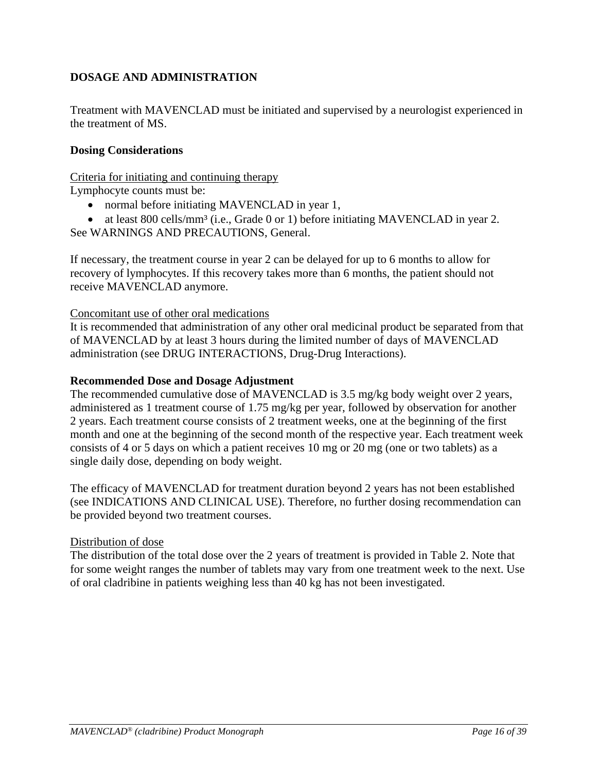# <span id="page-15-0"></span>**DOSAGE AND ADMINISTRATION**

Treatment with MAVENCLAD must be initiated and supervised by a neurologist experienced in the treatment of MS.

# **Dosing Considerations**

Criteria for initiating and continuing therapy

Lymphocyte counts must be:

- normal before initiating MAVENCLAD in year 1,
- at least 800 cells/mm<sup>3</sup> (i.e., Grade 0 or 1) before initiating MAVENCLAD in year 2.
- See WARNINGS AND PRECAUTIONS, General.

If necessary, the treatment course in year 2 can be delayed for up to 6 months to allow for recovery of lymphocytes. If this recovery takes more than 6 months, the patient should not receive MAVENCLAD anymore.

### Concomitant use of other oral medications

It is recommended that administration of any other oral medicinal product be separated from that of MAVENCLAD by at least 3 hours during the limited number of days of MAVENCLAD administration (see DRUG INTERACTIONS, Drug-Drug Interactions).

### **Recommended Dose and Dosage Adjustment**

The recommended cumulative dose of MAVENCLAD is 3.5 mg/kg body weight over 2 years, administered as 1 treatment course of 1.75 mg/kg per year, followed by observation for another 2 years. Each treatment course consists of 2 treatment weeks, one at the beginning of the first month and one at the beginning of the second month of the respective year. Each treatment week consists of 4 or 5 days on which a patient receives 10 mg or 20 mg (one or two tablets) as a single daily dose, depending on body weight.

The efficacy of MAVENCLAD for treatment duration beyond 2 years has not been established (see INDICATIONS AND CLINICAL USE). Therefore, no further dosing recommendation can be provided beyond two treatment courses.

### Distribution of dose

The distribution of the total dose over the 2 years of treatment is provided in Table 2. Note that for some weight ranges the number of tablets may vary from one treatment week to the next. Use of oral cladribine in patients weighing less than 40 kg has not been investigated.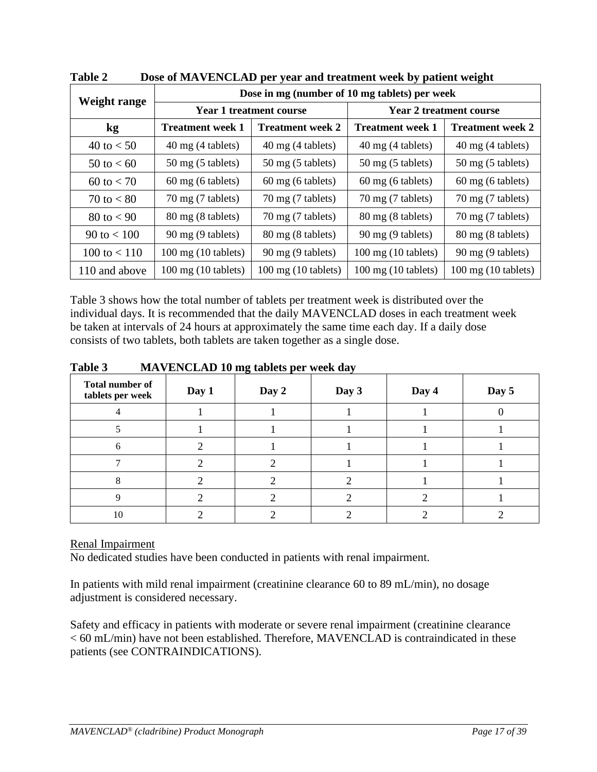| Weight range        | Dose in mg (number of 10 mg tablets) per week |                                |                                |                               |  |  |
|---------------------|-----------------------------------------------|--------------------------------|--------------------------------|-------------------------------|--|--|
|                     |                                               | <b>Year 1 treatment course</b> | <b>Year 2 treatment course</b> |                               |  |  |
| $\mathbf{kg}$       | <b>Treatment week 1</b>                       | <b>Treatment week 2</b>        | <b>Treatment week 1</b>        | <b>Treatment week 2</b>       |  |  |
| 40 to $< 50$        | 40 mg (4 tablets)                             | 40 mg (4 tablets)              | $40 \text{ mg}$ (4 tablets)    | 40 mg (4 tablets)             |  |  |
| 50 to $< 60$        | $50 \text{ mg}$ (5 tablets)                   | $50 \text{ mg}$ (5 tablets)    | $50 \text{ mg}$ (5 tablets)    | $50 \text{ mg}$ (5 tablets)   |  |  |
| $60 \text{ to } 50$ | 60 mg (6 tablets)                             | $60 \text{ mg}$ (6 tablets)    | 60 mg (6 tablets)              | $60 \text{ mg}$ (6 tablets)   |  |  |
| 70 to $< 80$        | $70 \text{ mg}$ (7 tablets)                   | $70 \text{ mg}$ (7 tablets)    | $70 \text{ mg}$ (7 tablets)    | $70 \text{ mg}$ (7 tablets)   |  |  |
| 80 to $< 90$        | 80 mg (8 tablets)                             | $70 \text{ mg}$ (7 tablets)    | 80 mg (8 tablets)              | $70 \text{ mg}$ (7 tablets)   |  |  |
| 90 to $< 100$       | 90 mg (9 tablets)                             | 80 mg (8 tablets)              | 90 mg (9 tablets)              | 80 mg (8 tablets)             |  |  |
| 100 to $< 110$      | $100$ mg $(10$ tablets)                       | 90 mg (9 tablets)              | $100 \text{ mg}$ (10 tablets)  | 90 mg (9 tablets)             |  |  |
| 110 and above       | $100 \text{ mg}$ (10 tablets)                 | $100 \text{ mg}$ (10 tablets)  | $100 \text{ mg}$ (10 tablets)  | $100 \text{ mg}$ (10 tablets) |  |  |

**Table 2 Dose of MAVENCLAD per year and treatment week by patient weight**

Table 3 shows how the total number of tablets per treatment week is distributed over the individual days. It is recommended that the daily MAVENCLAD doses in each treatment week be taken at intervals of 24 hours at approximately the same time each day. If a daily dose consists of two tablets, both tablets are taken together as a single dose.

| <b>Total number of</b><br>tablets per week | Day 1 | $\circ$<br>Day 2 | $\overline{\phantom{a}}$<br>Day 3 | Day 4 | Day 5 |
|--------------------------------------------|-------|------------------|-----------------------------------|-------|-------|
|                                            |       |                  |                                   |       |       |
|                                            |       |                  |                                   |       |       |
|                                            |       |                  |                                   |       |       |
|                                            |       |                  |                                   |       |       |
|                                            |       |                  |                                   |       |       |
|                                            |       |                  |                                   |       |       |
| 10                                         |       |                  |                                   |       |       |

**Table 3 MAVENCLAD 10 mg tablets per week day**

# Renal Impairment

No dedicated studies have been conducted in patients with renal impairment.

In patients with mild renal impairment (creatinine clearance 60 to 89 mL/min), no dosage adjustment is considered necessary.

Safety and efficacy in patients with moderate or severe renal impairment (creatinine clearance < 60 mL/min) have not been established. Therefore, MAVENCLAD is contraindicated in these patients (see CONTRAINDICATIONS).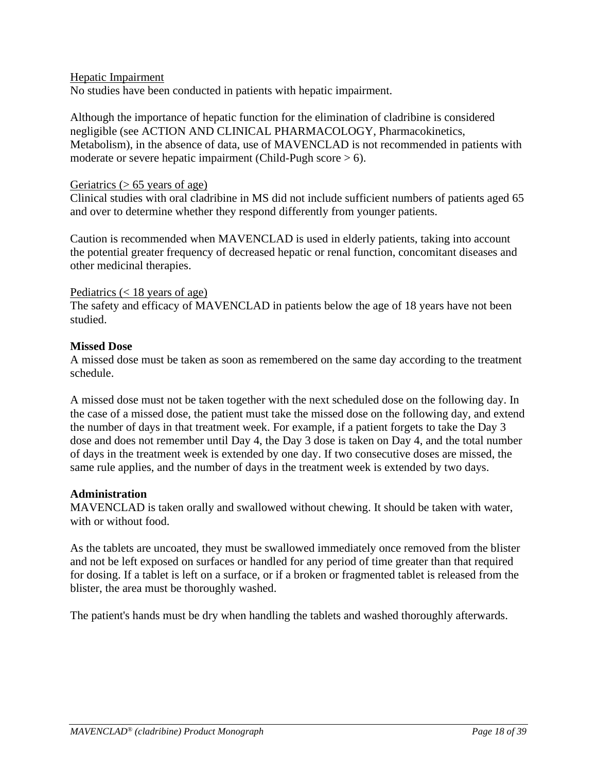### Hepatic Impairment

No studies have been conducted in patients with hepatic impairment.

Although the importance of hepatic function for the elimination of cladribine is considered negligible (see ACTION AND CLINICAL PHARMACOLOGY, Pharmacokinetics, Metabolism), in the absence of data, use of MAVENCLAD is not recommended in patients with moderate or severe hepatic impairment (Child-Pugh score  $> 6$ ).

#### Geriatrics  $(> 65$  years of age)

Clinical studies with oral cladribine in MS did not include sufficient numbers of patients aged 65 and over to determine whether they respond differently from younger patients.

Caution is recommended when MAVENCLAD is used in elderly patients, taking into account the potential greater frequency of decreased hepatic or renal function, concomitant diseases and other medicinal therapies.

#### Pediatrics  $(< 18$  years of age)

The safety and efficacy of MAVENCLAD in patients below the age of 18 years have not been studied.

#### **Missed Dose**

A missed dose must be taken as soon as remembered on the same day according to the treatment schedule.

A missed dose must not be taken together with the next scheduled dose on the following day. In the case of a missed dose, the patient must take the missed dose on the following day, and extend the number of days in that treatment week. For example, if a patient forgets to take the Day 3 dose and does not remember until Day 4, the Day 3 dose is taken on Day 4, and the total number of days in the treatment week is extended by one day. If two consecutive doses are missed, the same rule applies, and the number of days in the treatment week is extended by two days.

### **Administration**

MAVENCLAD is taken orally and swallowed without chewing. It should be taken with water, with or without food.

As the tablets are uncoated, they must be swallowed immediately once removed from the blister and not be left exposed on surfaces or handled for any period of time greater than that required for dosing. If a tablet is left on a surface, or if a broken or fragmented tablet is released from the blister, the area must be thoroughly washed.

The patient's hands must be dry when handling the tablets and washed thoroughly afterwards.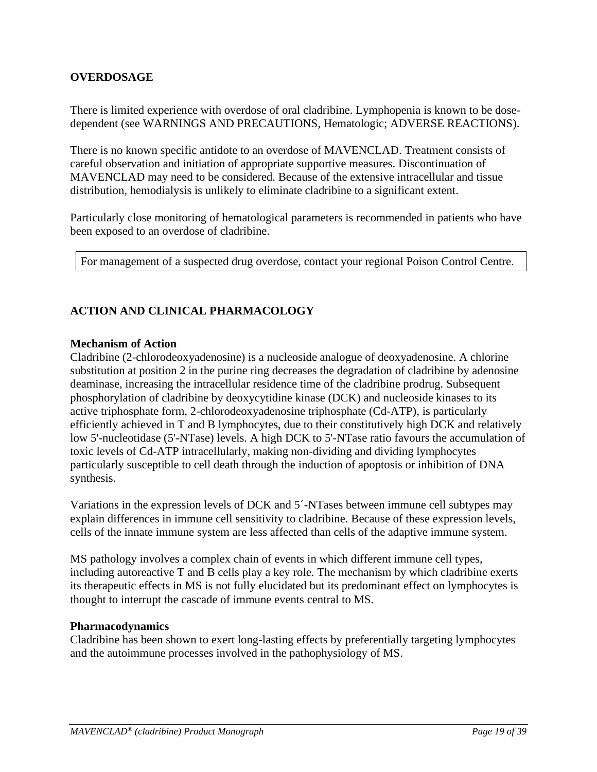# <span id="page-18-0"></span>**OVERDOSAGE**

There is limited experience with overdose of oral cladribine. Lymphopenia is known to be dosedependent (see WARNINGS AND PRECAUTIONS, Hematologic; ADVERSE REACTIONS).

There is no known specific antidote to an overdose of MAVENCLAD. Treatment consists of careful observation and initiation of appropriate supportive measures. Discontinuation of MAVENCLAD may need to be considered. Because of the extensive intracellular and tissue distribution, hemodialysis is unlikely to eliminate cladribine to a significant extent.

Particularly close monitoring of hematological parameters is recommended in patients who have been exposed to an overdose of cladribine.

For management of a suspected drug overdose, contact your regional Poison Control Centre.

# <span id="page-18-1"></span>**ACTION AND CLINICAL PHARMACOLOGY**

### **Mechanism of Action**

Cladribine (2-chlorodeoxyadenosine) is a nucleoside analogue of deoxyadenosine. A chlorine substitution at position 2 in the purine ring decreases the degradation of cladribine by adenosine deaminase, increasing the intracellular residence time of the cladribine prodrug. Subsequent phosphorylation of cladribine by deoxycytidine kinase (DCK) and nucleoside kinases to its active triphosphate form, 2-chlorodeoxyadenosine triphosphate (Cd-ATP), is particularly efficiently achieved in T and B lymphocytes, due to their constitutively high DCK and relatively low 5'-nucleotidase (5'-NTase) levels. A high DCK to 5'-NTase ratio favours the accumulation of toxic levels of Cd-ATP intracellularly, making non-dividing and dividing lymphocytes particularly susceptible to cell death through the induction of apoptosis or inhibition of DNA synthesis.

Variations in the expression levels of DCK and 5´-NTases between immune cell subtypes may explain differences in immune cell sensitivity to cladribine. Because of these expression levels, cells of the innate immune system are less affected than cells of the adaptive immune system.

MS pathology involves a complex chain of events in which different immune cell types, including autoreactive T and B cells play a key role. The mechanism by which cladribine exerts its therapeutic effects in MS is not fully elucidated but its predominant effect on lymphocytes is thought to interrupt the cascade of immune events central to MS.

### **Pharmacodynamics**

Cladribine has been shown to exert long-lasting effects by preferentially targeting lymphocytes and the autoimmune processes involved in the pathophysiology of MS.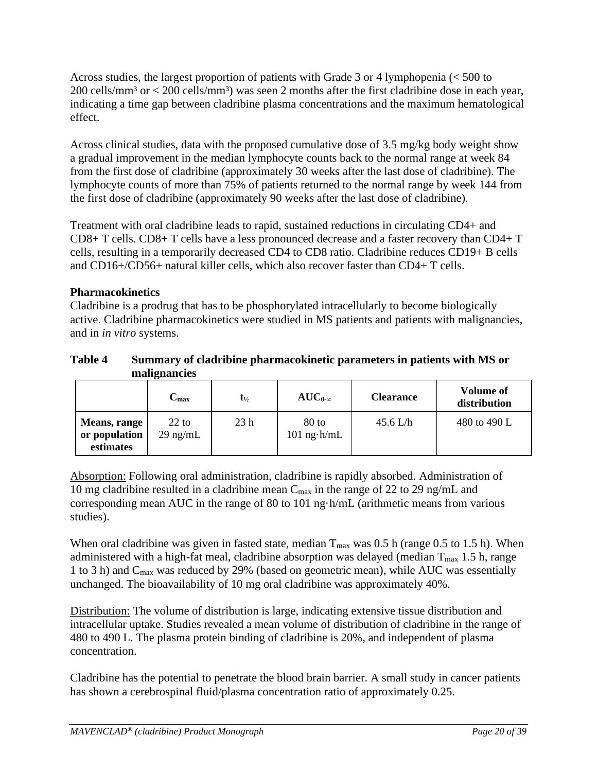Across studies, the largest proportion of patients with Grade 3 or 4 lymphopenia (< 500 to  $200$  cells/mm<sup>3</sup> or  $<$  200 cells/mm<sup>3</sup>) was seen 2 months after the first cladribine dose in each year, indicating a time gap between cladribine plasma concentrations and the maximum hematological effect.

Across clinical studies, data with the proposed cumulative dose of 3.5 mg/kg body weight show a gradual improvement in the median lymphocyte counts back to the normal range at week 84 from the first dose of cladribine (approximately 30 weeks after the last dose of cladribine). The lymphocyte counts of more than 75% of patients returned to the normal range by week 144 from the first dose of cladribine (approximately 90 weeks after the last dose of cladribine).

Treatment with oral cladribine leads to rapid, sustained reductions in circulating CD4+ and CD8+ T cells. CD8+ T cells have a less pronounced decrease and a faster recovery than CD4+ T cells, resulting in a temporarily decreased CD4 to CD8 ratio. Cladribine reduces CD19+ B cells and CD16+/CD56+ natural killer cells, which also recover faster than CD4+ T cells.

# **Pharmacokinetics**

Cladribine is a prodrug that has to be phosphorylated intracellularly to become biologically active. Cladribine pharmacokinetics were studied in MS patients and patients with malignancies, and in *in vitro* systems.

# **Table 4 Summary of cladribine pharmacokinetic parameters in patients with MS or malignancies**

|                                            | $\mathbf{C_{max}}$            | $\mathbf{t}_{\frac{1}{2}}$ | $AUC_{0-\infty}$           | <b>Clearance</b> | <b>Volume of</b><br>distribution |
|--------------------------------------------|-------------------------------|----------------------------|----------------------------|------------------|----------------------------------|
| Means, range<br>or population<br>estimates | $22 \text{ to}$<br>$29$ ng/mL | 23 <sub>h</sub>            | $80$ to<br>$101$ ng $h/mL$ | 45.6 L/h         | 480 to 490 L                     |

Absorption: Following oral administration, cladribine is rapidly absorbed. Administration of 10 mg cladribine resulted in a cladribine mean  $C_{\text{max}}$  in the range of 22 to 29 ng/mL and corresponding mean AUC in the range of 80 to 101 ng·h/mL (arithmetic means from various studies).

When oral cladribine was given in fasted state, median  $T_{\text{max}}$  was 0.5 h (range 0.5 to 1.5 h). When administered with a high-fat meal, cladribine absorption was delayed (median  $T_{\text{max}}$  1.5 h, range 1 to 3 h) and Cmax was reduced by 29% (based on geometric mean), while AUC was essentially unchanged. The bioavailability of 10 mg oral cladribine was approximately 40%.

Distribution: The volume of distribution is large, indicating extensive tissue distribution and intracellular uptake. Studies revealed a mean volume of distribution of cladribine in the range of 480 to 490 L. The plasma protein binding of cladribine is 20%, and independent of plasma concentration.

Cladribine has the potential to penetrate the blood brain barrier. A small study in cancer patients has shown a cerebrospinal fluid/plasma concentration ratio of approximately 0.25.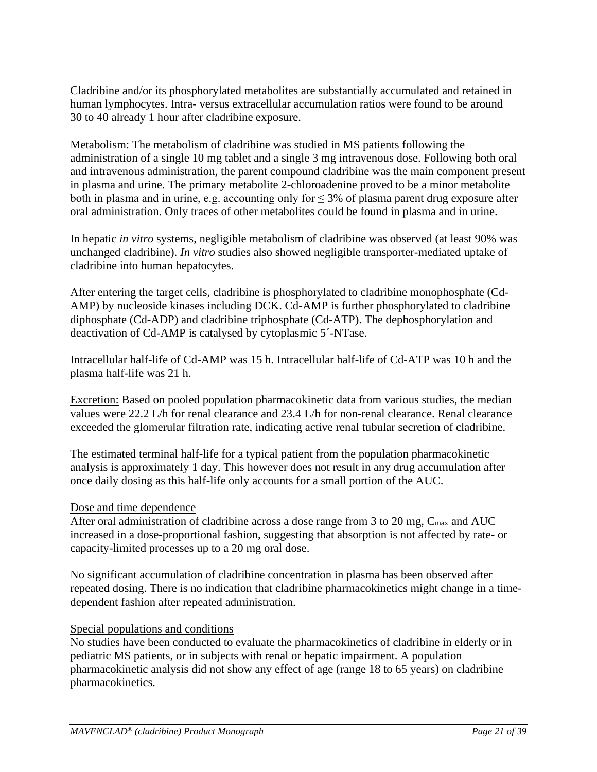Cladribine and/or its phosphorylated metabolites are substantially accumulated and retained in human lymphocytes. Intra- versus extracellular accumulation ratios were found to be around 30 to 40 already 1 hour after cladribine exposure.

Metabolism: The metabolism of cladribine was studied in MS patients following the administration of a single 10 mg tablet and a single 3 mg intravenous dose. Following both oral and intravenous administration, the parent compound cladribine was the main component present in plasma and urine. The primary metabolite 2-chloroadenine proved to be a minor metabolite both in plasma and in urine, e.g. accounting only for  $\leq$  3% of plasma parent drug exposure after oral administration. Only traces of other metabolites could be found in plasma and in urine.

In hepatic *in vitro* systems, negligible metabolism of cladribine was observed (at least 90% was unchanged cladribine). *In vitro* studies also showed negligible transporter-mediated uptake of cladribine into human hepatocytes.

After entering the target cells, cladribine is phosphorylated to cladribine monophosphate (Cd-AMP) by nucleoside kinases including DCK. Cd-AMP is further phosphorylated to cladribine diphosphate (Cd-ADP) and cladribine triphosphate (Cd-ATP). The dephosphorylation and deactivation of Cd-AMP is catalysed by cytoplasmic 5´-NTase.

Intracellular half-life of Cd-AMP was 15 h. Intracellular half-life of Cd-ATP was 10 h and the plasma half-life was 21 h.

Excretion: Based on pooled population pharmacokinetic data from various studies, the median values were 22.2 L/h for renal clearance and 23.4 L/h for non-renal clearance. Renal clearance exceeded the glomerular filtration rate, indicating active renal tubular secretion of cladribine.

The estimated terminal half-life for a typical patient from the population pharmacokinetic analysis is approximately 1 day. This however does not result in any drug accumulation after once daily dosing as this half-life only accounts for a small portion of the AUC.

# Dose and time dependence

After oral administration of cladribine across a dose range from 3 to 20 mg,  $C_{\text{max}}$  and AUC increased in a dose-proportional fashion, suggesting that absorption is not affected by rate- or capacity-limited processes up to a 20 mg oral dose.

No significant accumulation of cladribine concentration in plasma has been observed after repeated dosing. There is no indication that cladribine pharmacokinetics might change in a timedependent fashion after repeated administration.

### Special populations and conditions

No studies have been conducted to evaluate the pharmacokinetics of cladribine in elderly or in pediatric MS patients, or in subjects with renal or hepatic impairment. A population pharmacokinetic analysis did not show any effect of age (range 18 to 65 years) on cladribine pharmacokinetics.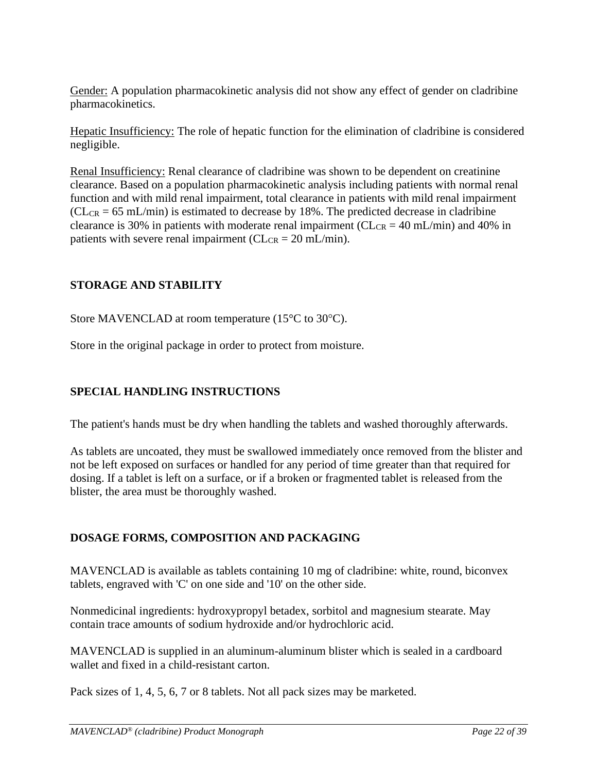Gender: A population pharmacokinetic analysis did not show any effect of gender on cladribine pharmacokinetics.

Hepatic Insufficiency: The role of hepatic function for the elimination of cladribine is considered negligible.

Renal Insufficiency: Renal clearance of cladribine was shown to be dependent on creatinine clearance. Based on a population pharmacokinetic analysis including patients with normal renal function and with mild renal impairment, total clearance in patients with mild renal impairment  $CL_{CR} = 65$  mL/min) is estimated to decrease by 18%. The predicted decrease in cladribine clearance is 30% in patients with moderate renal impairment ( $CL_{CR} = 40$  mL/min) and 40% in patients with severe renal impairment ( $CL_{CR} = 20$  mL/min).

# <span id="page-21-0"></span>**STORAGE AND STABILITY**

Store MAVENCLAD at room temperature (15 $\degree$ C to 30 $\degree$ C).

Store in the original package in order to protect from moisture.

# <span id="page-21-1"></span>**SPECIAL HANDLING INSTRUCTIONS**

The patient's hands must be dry when handling the tablets and washed thoroughly afterwards.

As tablets are uncoated, they must be swallowed immediately once removed from the blister and not be left exposed on surfaces or handled for any period of time greater than that required for dosing. If a tablet is left on a surface, or if a broken or fragmented tablet is released from the blister, the area must be thoroughly washed.

# <span id="page-21-2"></span>**DOSAGE FORMS, COMPOSITION AND PACKAGING**

MAVENCLAD is available as tablets containing 10 mg of cladribine: white, round, biconvex tablets, engraved with 'C' on one side and '10' on the other side.

Nonmedicinal ingredients: hydroxypropyl betadex, sorbitol and magnesium stearate. May contain trace amounts of sodium hydroxide and/or hydrochloric acid.

MAVENCLAD is supplied in an aluminum-aluminum blister which is sealed in a cardboard wallet and fixed in a child-resistant carton.

Pack sizes of 1, 4, 5, 6, 7 or 8 tablets. Not all pack sizes may be marketed.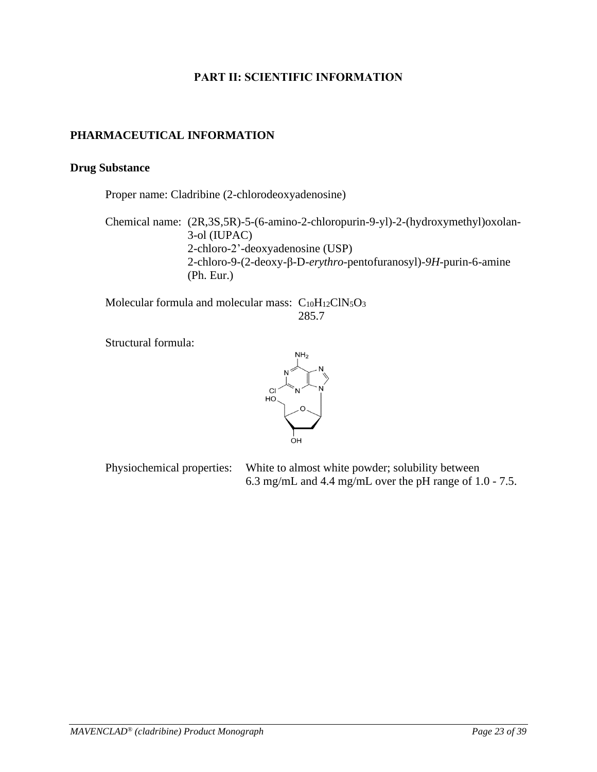# **PART II: SCIENTIFIC INFORMATION**

# <span id="page-22-1"></span><span id="page-22-0"></span>**PHARMACEUTICAL INFORMATION**

### **Drug Substance**

Proper name: Cladribine (2-chlorodeoxyadenosine)

Chemical name: (2R,3S,5R)-5-(6-amino-2-chloropurin-9-yl)-2-(hydroxymethyl)oxolan-3-ol (IUPAC) 2-chloro-2'-deoxyadenosine (USP) 2-chloro-9-(2-deoxy-β-D-*erythro-*pentofuranosyl)-*9H*-purin-6-amine (Ph. Eur.)

Molecular formula and molecular mass:  $C_{10}H_{12}CIN_5O_3$ 285.7

Structural formula:



Physiochemical properties: White to almost white powder; solubility between 6.3 mg/mL and 4.4 mg/mL over the pH range of 1.0 - 7.5.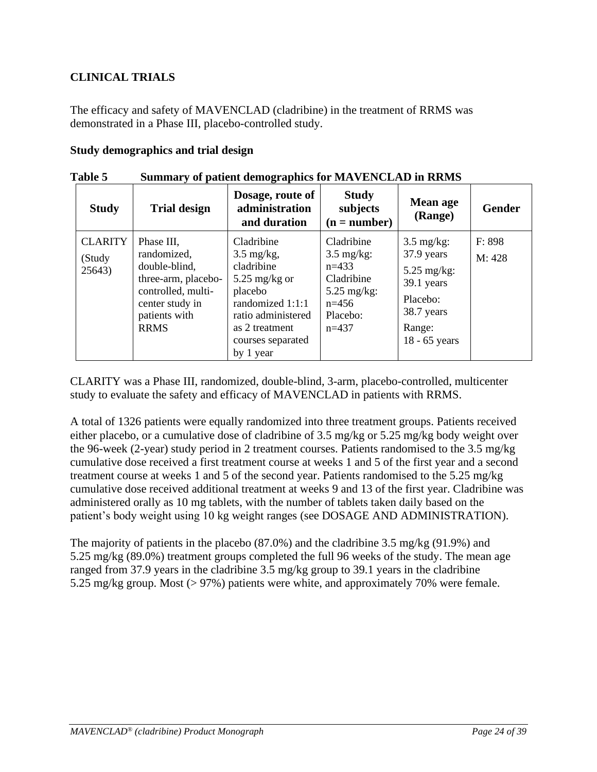# <span id="page-23-0"></span>**CLINICAL TRIALS**

The efficacy and safety of MAVENCLAD (cladribine) in the treatment of RRMS was demonstrated in a Phase III, placebo-controlled study.

### **Study demographics and trial design**

| TUNIC A                            | $\alpha$ $\beta$ or patient achievement applies for the vertex in Kinding                                                                  |                                                                                                                                                                             |                                                                                                                          |                                                                                                                           |                  |  |
|------------------------------------|--------------------------------------------------------------------------------------------------------------------------------------------|-----------------------------------------------------------------------------------------------------------------------------------------------------------------------------|--------------------------------------------------------------------------------------------------------------------------|---------------------------------------------------------------------------------------------------------------------------|------------------|--|
| <b>Study</b>                       | <b>Trial design</b>                                                                                                                        | Dosage, route of<br>administration<br>and duration                                                                                                                          | <b>Study</b><br>subjects<br>$(n = number)$                                                                               | Mean age<br>(Range)                                                                                                       | <b>Gender</b>    |  |
| <b>CLARITY</b><br>(Study<br>25643) | Phase III,<br>randomized,<br>double-blind,<br>three-arm, placebo-<br>controlled, multi-<br>center study in<br>patients with<br><b>RRMS</b> | Cladribine<br>$3.5 \text{ mg/kg}$ ,<br>cladribine<br>5.25 mg/kg or<br>placebo<br>randomized 1:1:1<br>ratio administered<br>as 2 treatment<br>courses separated<br>by 1 year | Cladribine<br>$3.5 \text{ mg/kg}$ :<br>$n=433$<br>Cladribine<br>$5.25 \text{ mg/kg}$ :<br>$n=456$<br>Placebo:<br>$n=437$ | $3.5 \text{ mg/kg}$ :<br>37.9 years<br>$5.25$ mg/kg:<br>39.1 years<br>Placebo:<br>38.7 years<br>Range:<br>$18 - 65$ years | F: 898<br>M: 428 |  |

**Table 5 Summary of patient demographics for MAVENCLAD in RRMS**

CLARITY was a Phase III, randomized, double-blind, 3-arm, placebo-controlled, multicenter study to evaluate the safety and efficacy of MAVENCLAD in patients with RRMS.

A total of 1326 patients were equally randomized into three treatment groups. Patients received either placebo, or a cumulative dose of cladribine of 3.5 mg/kg or 5.25 mg/kg body weight over the 96-week (2-year) study period in 2 treatment courses. Patients randomised to the 3.5 mg/kg cumulative dose received a first treatment course at weeks 1 and 5 of the first year and a second treatment course at weeks 1 and 5 of the second year. Patients randomised to the 5.25 mg/kg cumulative dose received additional treatment at weeks 9 and 13 of the first year. Cladribine was administered orally as 10 mg tablets, with the number of tablets taken daily based on the patient's body weight using 10 kg weight ranges (see DOSAGE AND ADMINISTRATION).

The majority of patients in the placebo (87.0%) and the cladribine 3.5 mg/kg (91.9%) and 5.25 mg/kg (89.0%) treatment groups completed the full 96 weeks of the study. The mean age ranged from 37.9 years in the cladribine 3.5 mg/kg group to 39.1 years in the cladribine 5.25 mg/kg group. Most (> 97%) patients were white, and approximately 70% were female.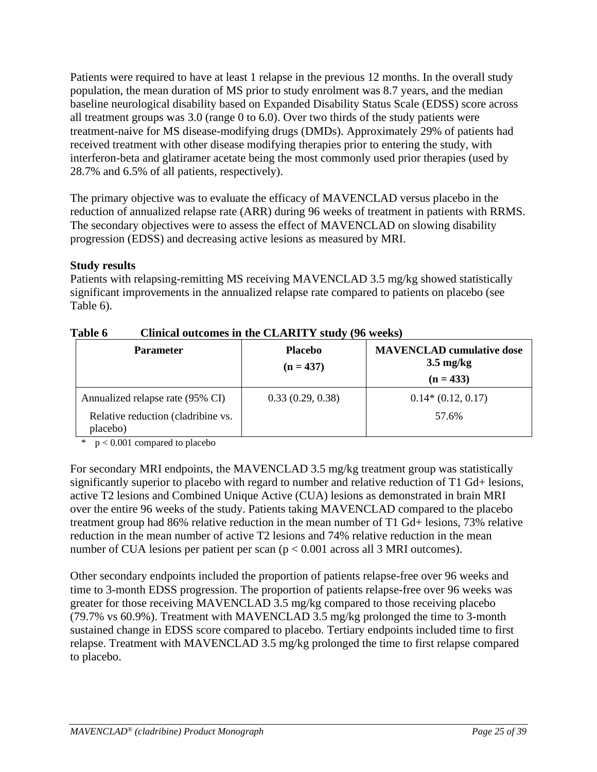Patients were required to have at least 1 relapse in the previous 12 months. In the overall study population, the mean duration of MS prior to study enrolment was 8.7 years, and the median baseline neurological disability based on Expanded Disability Status Scale (EDSS) score across all treatment groups was 3.0 (range 0 to 6.0). Over two thirds of the study patients were treatment-naive for MS disease-modifying drugs (DMDs). Approximately 29% of patients had received treatment with other disease modifying therapies prior to entering the study, with interferon-beta and glatiramer acetate being the most commonly used prior therapies (used by 28.7% and 6.5% of all patients, respectively).

The primary objective was to evaluate the efficacy of MAVENCLAD versus placebo in the reduction of annualized relapse rate (ARR) during 96 weeks of treatment in patients with RRMS. The secondary objectives were to assess the effect of MAVENCLAD on slowing disability progression (EDSS) and decreasing active lesions as measured by MRI.

# **Study results**

Patients with relapsing-remitting MS receiving MAVENCLAD 3.5 mg/kg showed statistically significant improvements in the annualized relapse rate compared to patients on placebo (see Table 6).

| <b>Parameter</b>                               | <b>Placebo</b><br>$(n = 437)$ | <b>MAVENCLAD</b> cumulative dose<br>$3.5 \text{ mg/kg}$<br>$(n = 433)$ |
|------------------------------------------------|-------------------------------|------------------------------------------------------------------------|
| Annualized relapse rate (95% CI)               | 0.33(0.29, 0.38)              | $0.14*(0.12, 0.17)$                                                    |
| Relative reduction (cladribine vs.<br>placebo) |                               | 57.6%                                                                  |

### **Table 6 Clinical outcomes in the CLARITY study (96 weeks)**

 $p < 0.001$  compared to placebo

For secondary MRI endpoints, the MAVENCLAD 3.5 mg/kg treatment group was statistically significantly superior to placebo with regard to number and relative reduction of T1 Gd+ lesions, active T2 lesions and Combined Unique Active (CUA) lesions as demonstrated in brain MRI over the entire 96 weeks of the study. Patients taking MAVENCLAD compared to the placebo treatment group had 86% relative reduction in the mean number of T1 Gd+ lesions, 73% relative reduction in the mean number of active T2 lesions and 74% relative reduction in the mean number of CUA lesions per patient per scan ( $p < 0.001$  across all 3 MRI outcomes).

Other secondary endpoints included the proportion of patients relapse-free over 96 weeks and time to 3-month EDSS progression. The proportion of patients relapse-free over 96 weeks was greater for those receiving MAVENCLAD 3.5 mg/kg compared to those receiving placebo (79.7% vs 60.9%). Treatment with MAVENCLAD 3.5 mg/kg prolonged the time to 3-month sustained change in EDSS score compared to placebo. Tertiary endpoints included time to first relapse. Treatment with MAVENCLAD 3.5 mg/kg prolonged the time to first relapse compared to placebo.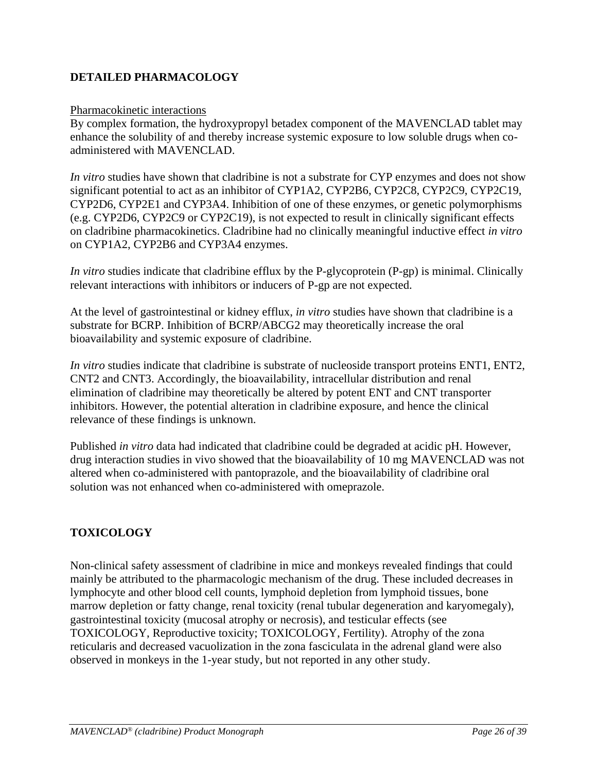# <span id="page-25-0"></span>**DETAILED PHARMACOLOGY**

### Pharmacokinetic interactions

By complex formation, the hydroxypropyl betadex component of the MAVENCLAD tablet may enhance the solubility of and thereby increase systemic exposure to low soluble drugs when coadministered with MAVENCLAD.

*In vitro* studies have shown that cladribine is not a substrate for CYP enzymes and does not show significant potential to act as an inhibitor of CYP1A2, CYP2B6, CYP2C8, CYP2C9, CYP2C19, CYP2D6, CYP2E1 and CYP3A4. Inhibition of one of these enzymes, or genetic polymorphisms (e.g. CYP2D6, CYP2C9 or CYP2C19), is not expected to result in clinically significant effects on cladribine pharmacokinetics. Cladribine had no clinically meaningful inductive effect *in vitro* on CYP1A2, CYP2B6 and CYP3A4 enzymes.

*In vitro* studies indicate that cladribine efflux by the P-glycoprotein (P-gp) is minimal. Clinically relevant interactions with inhibitors or inducers of P-gp are not expected.

At the level of gastrointestinal or kidney efflux, *in vitro* studies have shown that cladribine is a substrate for BCRP. Inhibition of BCRP/ABCG2 may theoretically increase the oral bioavailability and systemic exposure of cladribine.

*In vitro* studies indicate that cladribine is substrate of nucleoside transport proteins ENT1, ENT2, CNT2 and CNT3. Accordingly, the bioavailability, intracellular distribution and renal elimination of cladribine may theoretically be altered by potent ENT and CNT transporter inhibitors. However, the potential alteration in cladribine exposure, and hence the clinical relevance of these findings is unknown.

Published *in vitro* data had indicated that cladribine could be degraded at acidic pH. However, drug interaction studies in vivo showed that the bioavailability of 10 mg MAVENCLAD was not altered when co-administered with pantoprazole, and the bioavailability of cladribine oral solution was not enhanced when co-administered with omeprazole.

# <span id="page-25-1"></span>**TOXICOLOGY**

Non-clinical safety assessment of cladribine in mice and monkeys revealed findings that could mainly be attributed to the pharmacologic mechanism of the drug. These included decreases in lymphocyte and other blood cell counts, lymphoid depletion from lymphoid tissues, bone marrow depletion or fatty change, renal toxicity (renal tubular degeneration and karyomegaly), gastrointestinal toxicity (mucosal atrophy or necrosis), and testicular effects (see TOXICOLOGY, Reproductive toxicity; TOXICOLOGY, Fertility). Atrophy of the zona reticularis and decreased vacuolization in the zona fasciculata in the adrenal gland were also observed in monkeys in the 1-year study, but not reported in any other study.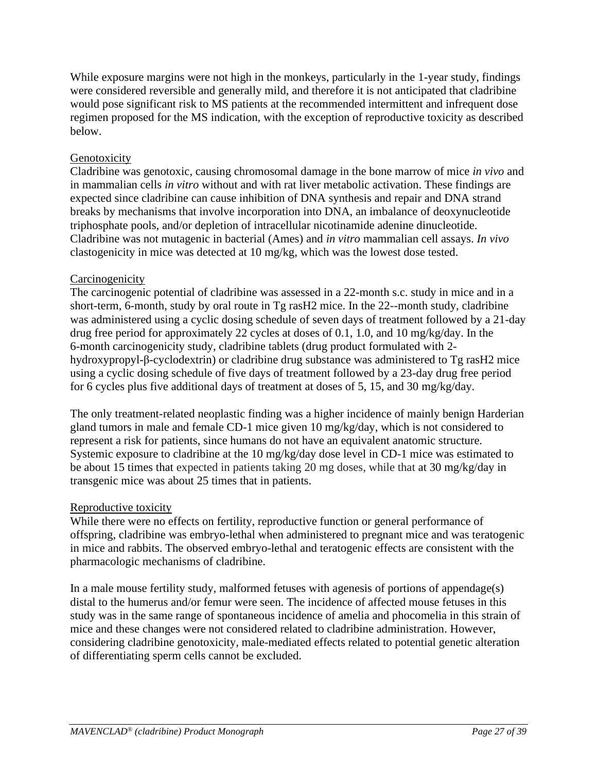While exposure margins were not high in the monkeys, particularly in the 1-year study, findings were considered reversible and generally mild, and therefore it is not anticipated that cladribine would pose significant risk to MS patients at the recommended intermittent and infrequent dose regimen proposed for the MS indication, with the exception of reproductive toxicity as described below.

# Genotoxicity

Cladribine was genotoxic, causing chromosomal damage in the bone marrow of mice *in vivo* and in mammalian cells *in vitro* without and with rat liver metabolic activation. These findings are expected since cladribine can cause inhibition of DNA synthesis and repair and DNA strand breaks by mechanisms that involve incorporation into DNA, an imbalance of deoxynucleotide triphosphate pools, and/or depletion of intracellular nicotinamide adenine dinucleotide. Cladribine was not mutagenic in bacterial (Ames) and *in vitro* mammalian cell assays. *In vivo* clastogenicity in mice was detected at 10 mg/kg, which was the lowest dose tested.

# **Carcinogenicity**

The carcinogenic potential of cladribine was assessed in a 22-month s.c. study in mice and in a short-term, 6-month, study by oral route in Tg rasH2 mice. In the 22--month study, cladribine was administered using a cyclic dosing schedule of seven days of treatment followed by a 21-day drug free period for approximately 22 cycles at doses of 0.1, 1.0, and 10 mg/kg/day. In the 6-month carcinogenicity study, cladribine tablets (drug product formulated with 2 hydroxypropyl-β-cyclodextrin) or cladribine drug substance was administered to Tg rasH2 mice using a cyclic dosing schedule of five days of treatment followed by a 23-day drug free period for 6 cycles plus five additional days of treatment at doses of 5, 15, and 30 mg/kg/day.

The only treatment-related neoplastic finding was a higher incidence of mainly benign Harderian gland tumors in male and female CD-1 mice given 10 mg/kg/day, which is not considered to represent a risk for patients, since humans do not have an equivalent anatomic structure. Systemic exposure to cladribine at the 10 mg/kg/day dose level in CD-1 mice was estimated to be about 15 times that expected in patients taking 20 mg doses, while that at 30 mg/kg/day in transgenic mice was about 25 times that in patients.

# Reproductive toxicity

While there were no effects on fertility, reproductive function or general performance of offspring, cladribine was embryo-lethal when administered to pregnant mice and was teratogenic in mice and rabbits. The observed embryo-lethal and teratogenic effects are consistent with the pharmacologic mechanisms of cladribine.

In a male mouse fertility study, malformed fetuses with agenesis of portions of appendage(s) distal to the humerus and/or femur were seen. The incidence of affected mouse fetuses in this study was in the same range of spontaneous incidence of amelia and phocomelia in this strain of mice and these changes were not considered related to cladribine administration. However, considering cladribine genotoxicity, male-mediated effects related to potential genetic alteration of differentiating sperm cells cannot be excluded.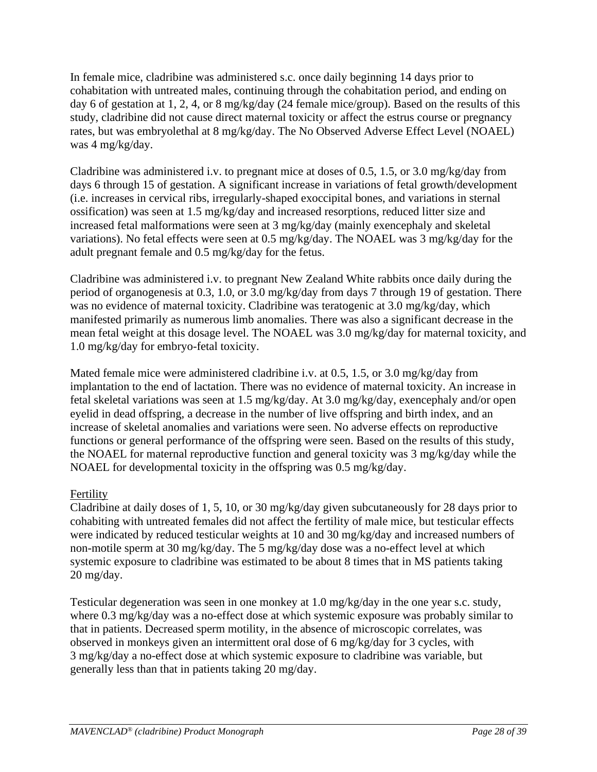In female mice, cladribine was administered s.c. once daily beginning 14 days prior to cohabitation with untreated males, continuing through the cohabitation period, and ending on day 6 of gestation at 1, 2, 4, or 8 mg/kg/day (24 female mice/group). Based on the results of this study, cladribine did not cause direct maternal toxicity or affect the estrus course or pregnancy rates, but was embryolethal at 8 mg/kg/day. The No Observed Adverse Effect Level (NOAEL) was 4 mg/kg/day.

Cladribine was administered i.v. to pregnant mice at doses of 0.5, 1.5, or 3.0 mg/kg/day from days 6 through 15 of gestation. A significant increase in variations of fetal growth/development (i.e. increases in cervical ribs, irregularly-shaped exoccipital bones, and variations in sternal ossification) was seen at 1.5 mg/kg/day and increased resorptions, reduced litter size and increased fetal malformations were seen at 3 mg/kg/day (mainly exencephaly and skeletal variations). No fetal effects were seen at 0.5 mg/kg/day. The NOAEL was 3 mg/kg/day for the adult pregnant female and 0.5 mg/kg/day for the fetus.

Cladribine was administered i.v. to pregnant New Zealand White rabbits once daily during the period of organogenesis at 0.3, 1.0, or 3.0 mg/kg/day from days 7 through 19 of gestation. There was no evidence of maternal toxicity. Cladribine was teratogenic at 3.0 mg/kg/day, which manifested primarily as numerous limb anomalies. There was also a significant decrease in the mean fetal weight at this dosage level. The NOAEL was 3.0 mg/kg/day for maternal toxicity, and 1.0 mg/kg/day for embryo-fetal toxicity.

Mated female mice were administered cladribine i.v. at 0.5, 1.5, or 3.0 mg/kg/day from implantation to the end of lactation. There was no evidence of maternal toxicity. An increase in fetal skeletal variations was seen at 1.5 mg/kg/day. At 3.0 mg/kg/day, exencephaly and/or open eyelid in dead offspring, a decrease in the number of live offspring and birth index, and an increase of skeletal anomalies and variations were seen. No adverse effects on reproductive functions or general performance of the offspring were seen. Based on the results of this study, the NOAEL for maternal reproductive function and general toxicity was 3 mg/kg/day while the NOAEL for developmental toxicity in the offspring was 0.5 mg/kg/day.

# Fertility

Cladribine at daily doses of 1, 5, 10, or 30 mg/kg/day given subcutaneously for 28 days prior to cohabiting with untreated females did not affect the fertility of male mice, but testicular effects were indicated by reduced testicular weights at 10 and 30 mg/kg/day and increased numbers of non-motile sperm at 30 mg/kg/day. The 5 mg/kg/day dose was a no-effect level at which systemic exposure to cladribine was estimated to be about 8 times that in MS patients taking 20 mg/day.

Testicular degeneration was seen in one monkey at 1.0 mg/kg/day in the one year s.c. study, where 0.3 mg/kg/day was a no-effect dose at which systemic exposure was probably similar to that in patients. Decreased sperm motility, in the absence of microscopic correlates, was observed in monkeys given an intermittent oral dose of 6 mg/kg/day for 3 cycles, with 3 mg/kg/day a no-effect dose at which systemic exposure to cladribine was variable, but generally less than that in patients taking 20 mg/day.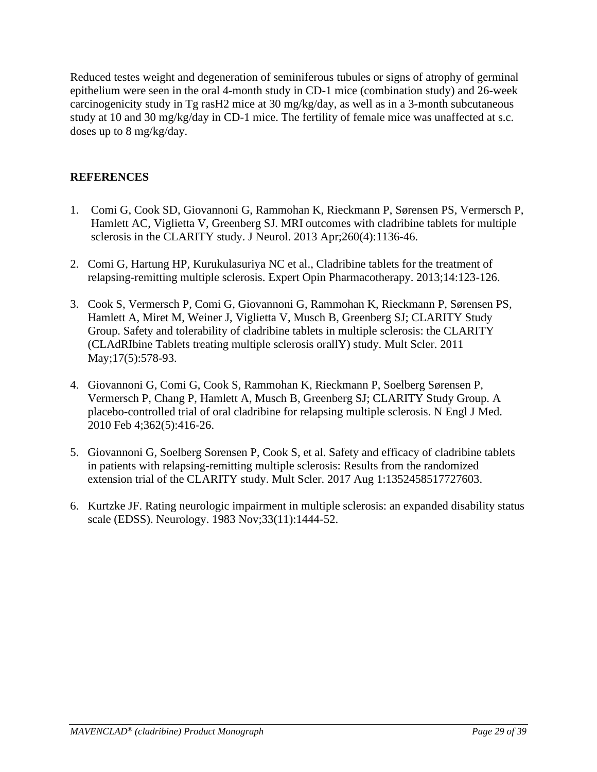Reduced testes weight and degeneration of seminiferous tubules or signs of atrophy of germinal epithelium were seen in the oral 4-month study in CD-1 mice (combination study) and 26-week carcinogenicity study in Tg rasH2 mice at 30 mg/kg/day, as well as in a 3-month subcutaneous study at 10 and 30 mg/kg/day in CD-1 mice. The fertility of female mice was unaffected at s.c. doses up to 8 mg/kg/day.

# <span id="page-28-0"></span>**REFERENCES**

- 1. Comi G, Cook SD, Giovannoni G, Rammohan K, Rieckmann P, Sørensen PS, Vermersch P, Hamlett AC, Viglietta V, Greenberg SJ. MRI outcomes with cladribine tablets for multiple sclerosis in the CLARITY study. J Neurol. 2013 Apr;260(4):1136-46.
- 2. Comi G, Hartung HP, Kurukulasuriya NC et al., Cladribine tablets for the treatment of relapsing-remitting multiple sclerosis. Expert Opin Pharmacotherapy. 2013;14:123-126.
- 3. Cook S, Vermersch P, Comi G, Giovannoni G, Rammohan K, Rieckmann P, Sørensen PS, Hamlett A, Miret M, Weiner J, Viglietta V, Musch B, Greenberg SJ; CLARITY Study Group. Safety and tolerability of cladribine tablets in multiple sclerosis: the CLARITY (CLAdRIbine Tablets treating multiple sclerosis orallY) study. Mult Scler. 2011 May;17(5):578-93.
- 4. Giovannoni G, Comi G, Cook S, Rammohan K, Rieckmann P, Soelberg Sørensen P, Vermersch P, Chang P, Hamlett A, Musch B, Greenberg SJ; CLARITY Study Group. A placebo-controlled trial of oral cladribine for relapsing multiple sclerosis. N Engl J Med. 2010 Feb 4;362(5):416-26.
- 5. Giovannoni G, Soelberg Sorensen P, Cook S, et al. Safety and efficacy of cladribine tablets in patients with relapsing-remitting multiple sclerosis: Results from the randomized extension trial of the CLARITY study. Mult Scler. 2017 Aug 1:1352458517727603.
- 6. Kurtzke JF. Rating neurologic impairment in multiple sclerosis: an expanded disability status scale (EDSS). Neurology. 1983 Nov;33(11):1444-52.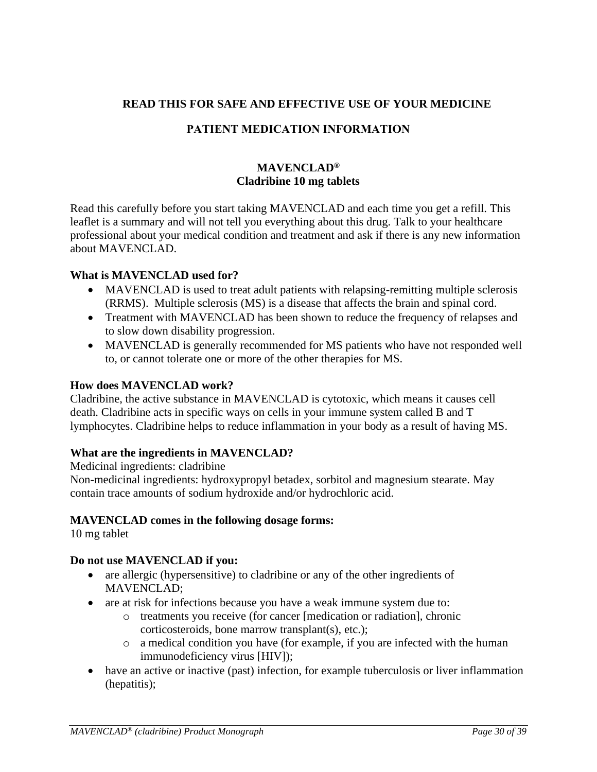# <span id="page-29-0"></span>**READ THIS FOR SAFE AND EFFECTIVE USE OF YOUR MEDICINE**

# **PATIENT MEDICATION INFORMATION**

# **MAVENCLAD® Cladribine 10 mg tablets**

Read this carefully before you start taking MAVENCLAD and each time you get a refill. This leaflet is a summary and will not tell you everything about this drug. Talk to your healthcare professional about your medical condition and treatment and ask if there is any new information about MAVENCLAD.

### **What is MAVENCLAD used for?**

- MAVENCLAD is used to treat adult patients with relapsing-remitting multiple sclerosis (RRMS). Multiple sclerosis (MS) is a disease that affects the brain and spinal cord.
- Treatment with MAVENCLAD has been shown to reduce the frequency of relapses and to slow down disability progression.
- MAVENCLAD is generally recommended for MS patients who have not responded well to, or cannot tolerate one or more of the other therapies for MS.

#### **How does MAVENCLAD work?**

Cladribine, the active substance in MAVENCLAD is cytotoxic, which means it causes cell death. Cladribine acts in specific ways on cells in your immune system called B and T lymphocytes. Cladribine helps to reduce inflammation in your body as a result of having MS.

### **What are the ingredients in MAVENCLAD?**

Medicinal ingredients: cladribine

Non-medicinal ingredients: hydroxypropyl betadex, sorbitol and magnesium stearate. May contain trace amounts of sodium hydroxide and/or hydrochloric acid.

### **MAVENCLAD comes in the following dosage forms:**

10 mg tablet

### **Do not use MAVENCLAD if you:**

- are allergic (hypersensitive) to cladribine or any of the other ingredients of MAVENCLAD;
- are at risk for infections because you have a weak immune system due to:
	- o treatments you receive (for cancer [medication or radiation], chronic corticosteroids, bone marrow transplant(s), etc.);
	- o a medical condition you have (for example, if you are infected with the human immunodeficiency virus [HIV]);
- have an active or inactive (past) infection, for example tuberculosis or liver inflammation (hepatitis);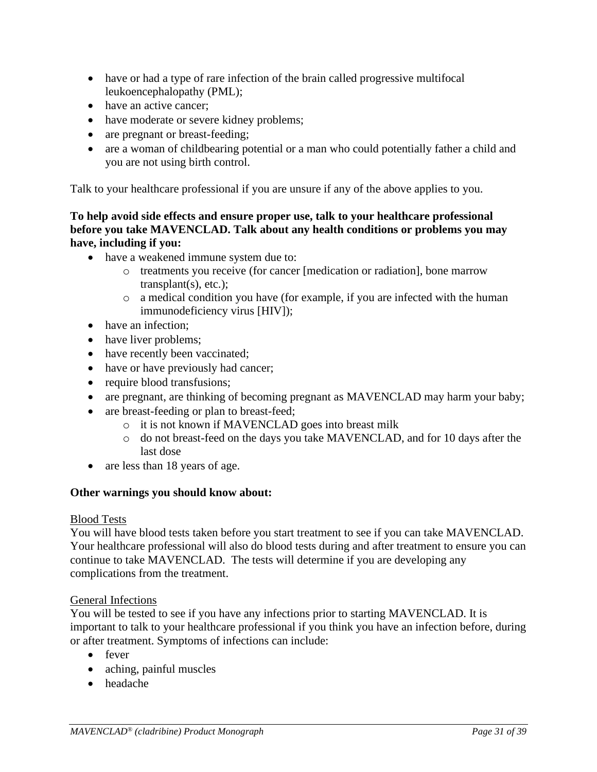- have or had a type of rare infection of the brain called progressive multifocal leukoencephalopathy (PML);
- have an active cancer:
- have moderate or severe kidney problems;
- are pregnant or breast-feeding;
- are a woman of childbearing potential or a man who could potentially father a child and you are not using birth control.

Talk to your healthcare professional if you are unsure if any of the above applies to you.

### **To help avoid side effects and ensure proper use, talk to your healthcare professional before you take MAVENCLAD. Talk about any health conditions or problems you may have, including if you:**

- have a weakened immune system due to:
	- o treatments you receive (for cancer [medication or radiation], bone marrow transplant(s), etc.);
	- o a medical condition you have (for example, if you are infected with the human immunodeficiency virus [HIV]);
- have an infection:
- have liver problems;
- have recently been vaccinated;
- have or have previously had cancer;
- require blood transfusions;
- are pregnant, are thinking of becoming pregnant as MAVENCLAD may harm your baby;
- are breast-feeding or plan to breast-feed;
	- o it is not known if MAVENCLAD goes into breast milk
	- o do not breast-feed on the days you take MAVENCLAD, and for 10 days after the last dose
- are less than 18 years of age.

# **Other warnings you should know about:**

# Blood Tests

You will have blood tests taken before you start treatment to see if you can take MAVENCLAD. Your healthcare professional will also do blood tests during and after treatment to ensure you can continue to take MAVENCLAD. The tests will determine if you are developing any complications from the treatment.

# General Infections

You will be tested to see if you have any infections prior to starting MAVENCLAD. It is important to talk to your healthcare professional if you think you have an infection before, during or after treatment. Symptoms of infections can include:

- fever
- aching, painful muscles
- headache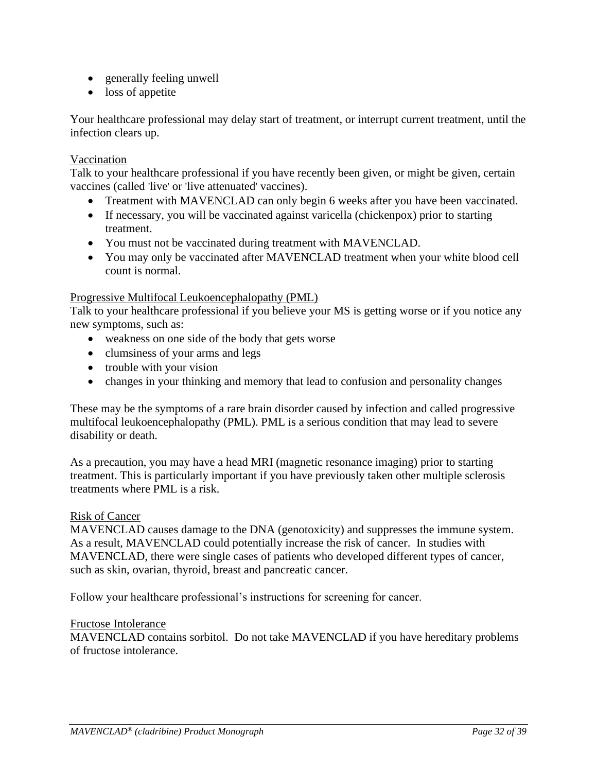- generally feeling unwell
- loss of appetite

Your healthcare professional may delay start of treatment, or interrupt current treatment, until the infection clears up.

### Vaccination

Talk to your healthcare professional if you have recently been given, or might be given, certain vaccines (called 'live' or 'live attenuated' vaccines).

- Treatment with MAVENCLAD can only begin 6 weeks after you have been vaccinated.
- If necessary, you will be vaccinated against varicella (chickenpox) prior to starting treatment.
- You must not be vaccinated during treatment with MAVENCLAD.
- You may only be vaccinated after MAVENCLAD treatment when your white blood cell count is normal.

### Progressive Multifocal Leukoencephalopathy (PML)

Talk to your healthcare professional if you believe your MS is getting worse or if you notice any new symptoms, such as:

- weakness on one side of the body that gets worse
- clumsiness of your arms and legs
- trouble with your vision
- changes in your thinking and memory that lead to confusion and personality changes

These may be the symptoms of a rare brain disorder caused by infection and called progressive multifocal leukoencephalopathy (PML). PML is a serious condition that may lead to severe disability or death.

As a precaution, you may have a head MRI (magnetic resonance imaging) prior to starting treatment. This is particularly important if you have previously taken other multiple sclerosis treatments where PML is a risk.

#### Risk of Cancer

MAVENCLAD causes damage to the DNA (genotoxicity) and suppresses the immune system. As a result, MAVENCLAD could potentially increase the risk of cancer. In studies with MAVENCLAD, there were single cases of patients who developed different types of cancer, such as skin, ovarian, thyroid, breast and pancreatic cancer.

Follow your healthcare professional's instructions for screening for cancer.

#### Fructose Intolerance

MAVENCLAD contains sorbitol. Do not take MAVENCLAD if you have hereditary problems of fructose intolerance.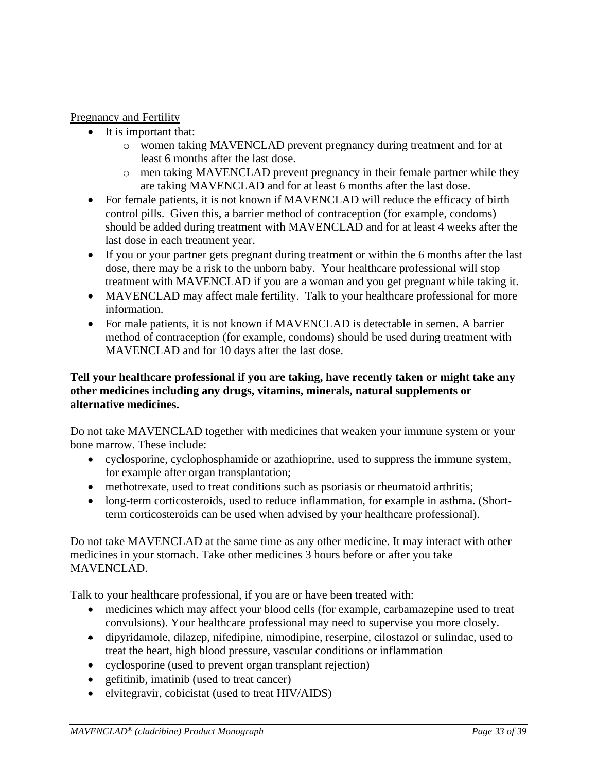# Pregnancy and Fertility

- It is important that:
	- o women taking MAVENCLAD prevent pregnancy during treatment and for at least 6 months after the last dose.
	- o men taking MAVENCLAD prevent pregnancy in their female partner while they are taking MAVENCLAD and for at least 6 months after the last dose.
- For female patients, it is not known if MAVENCLAD will reduce the efficacy of birth control pills. Given this, a barrier method of contraception (for example, condoms) should be added during treatment with MAVENCLAD and for at least 4 weeks after the last dose in each treatment year.
- If you or your partner gets pregnant during treatment or within the 6 months after the last dose, there may be a risk to the unborn baby. Your healthcare professional will stop treatment with MAVENCLAD if you are a woman and you get pregnant while taking it.
- MAVENCLAD may affect male fertility. Talk to your healthcare professional for more information.
- For male patients, it is not known if MAVENCLAD is detectable in semen. A barrier method of contraception (for example, condoms) should be used during treatment with MAVENCLAD and for 10 days after the last dose.

### **Tell your healthcare professional if you are taking, have recently taken or might take any other medicines including any drugs, vitamins, minerals, natural supplements or alternative medicines.**

Do not take MAVENCLAD together with medicines that weaken your immune system or your bone marrow. These include:

- cyclosporine, cyclophosphamide or azathioprine, used to suppress the immune system, for example after organ transplantation;
- methotrexate, used to treat conditions such as psoriasis or rheumatoid arthritis;
- long-term corticosteroids, used to reduce inflammation, for example in asthma. (Shortterm corticosteroids can be used when advised by your healthcare professional).

Do not take MAVENCLAD at the same time as any other medicine. It may interact with other medicines in your stomach. Take other medicines 3 hours before or after you take MAVENCLAD.

Talk to your healthcare professional, if you are or have been treated with:

- medicines which may affect your blood cells (for example, carbamazepine used to treat convulsions). Your healthcare professional may need to supervise you more closely.
- dipyridamole, dilazep, nifedipine, nimodipine, reserpine, cilostazol or sulindac, used to treat the heart, high blood pressure, vascular conditions or inflammation
- cyclosporine (used to prevent organ transplant rejection)
- gefitinib, imatinib (used to treat cancer)
- elvitegravir, cobicistat (used to treat HIV/AIDS)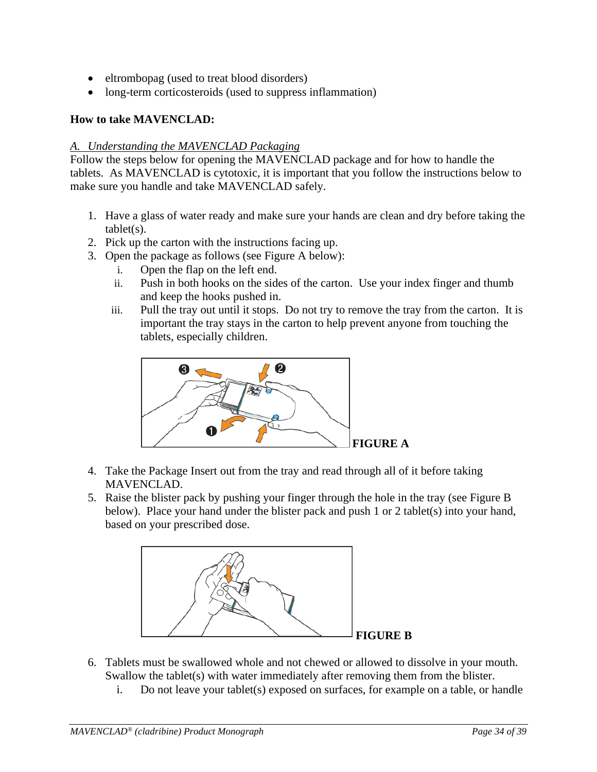- eltrombopag (used to treat blood disorders)
- long-term corticosteroids (used to suppress inflammation)

# **How to take MAVENCLAD:**

### *A. Understanding the MAVENCLAD Packaging*

Follow the steps below for opening the MAVENCLAD package and for how to handle the tablets. As MAVENCLAD is cytotoxic, it is important that you follow the instructions below to make sure you handle and take MAVENCLAD safely.

- 1. Have a glass of water ready and make sure your hands are clean and dry before taking the  $table(s)$ .
- 2. Pick up the carton with the instructions facing up.
- 3. Open the package as follows (see Figure A below):
	- i. Open the flap on the left end.
	- ii. Push in both hooks on the sides of the carton. Use your index finger and thumb and keep the hooks pushed in.
	- iii. Pull the tray out until it stops. Do not try to remove the tray from the carton. It is important the tray stays in the carton to help prevent anyone from touching the tablets, especially children.



- 4. Take the Package Insert out from the tray and read through all of it before taking MAVENCLAD.
- 5. Raise the blister pack by pushing your finger through the hole in the tray (see Figure B below). Place your hand under the blister pack and push 1 or 2 tablet(s) into your hand, based on your prescribed dose.



- 6. Tablets must be swallowed whole and not chewed or allowed to dissolve in your mouth. Swallow the tablet(s) with water immediately after removing them from the blister.
	- i. Do not leave your tablet(s) exposed on surfaces, for example on a table, or handle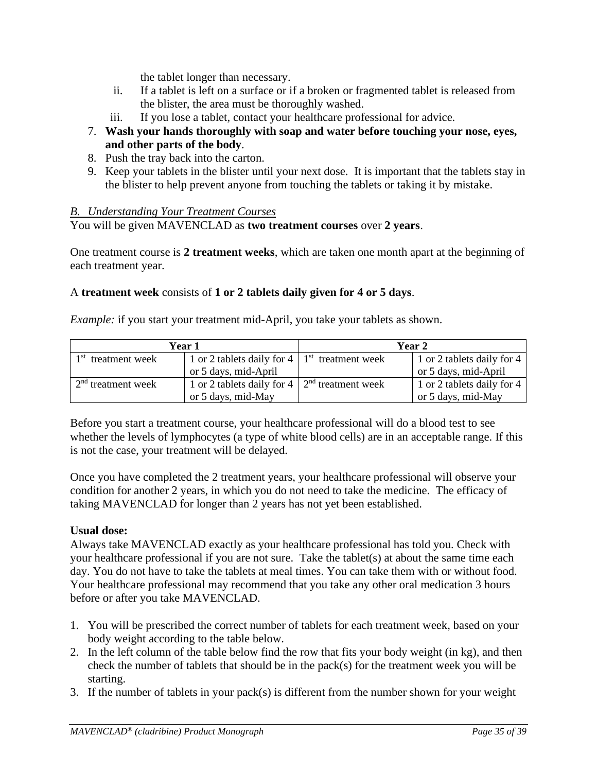the tablet longer than necessary.

- ii. If a tablet is left on a surface or if a broken or fragmented tablet is released from the blister, the area must be thoroughly washed.
- iii. If you lose a tablet, contact your healthcare professional for advice.
- 7. **Wash your hands thoroughly with soap and water before touching your nose, eyes, and other parts of the body**.
- 8. Push the tray back into the carton.
- 9. Keep your tablets in the blister until your next dose. It is important that the tablets stay in the blister to help prevent anyone from touching the tablets or taking it by mistake.

# *B. Understanding Your Treatment Courses*

You will be given MAVENCLAD as **two treatment courses** over **2 years**.

One treatment course is **2 treatment weeks**, which are taken one month apart at the beginning of each treatment year.

# A **treatment week** consists of **1 or 2 tablets daily given for 4 or 5 days**.

*Example:* if you start your treatment mid-April, you take your tablets as shown.

| Year 1                                                                            |                                                   | Year 2 |                            |  |
|-----------------------------------------------------------------------------------|---------------------------------------------------|--------|----------------------------|--|
| 1 <sup>st</sup> treatment week                                                    | 1 or 2 tablets daily for 4   $1st$ treatment week |        | 1 or 2 tablets daily for 4 |  |
|                                                                                   | or 5 days, mid-April                              |        | or 5 days, mid-April       |  |
| $\sim 2^{nd}$ treatment week<br>1 or 2 tablets daily for 4   $2nd$ treatment week |                                                   |        | 1 or 2 tablets daily for 4 |  |
|                                                                                   | or 5 days, mid-May                                |        | or 5 days, mid-May         |  |

Before you start a treatment course, your healthcare professional will do a blood test to see whether the levels of lymphocytes (a type of white blood cells) are in an acceptable range. If this is not the case, your treatment will be delayed.

Once you have completed the 2 treatment years, your healthcare professional will observe your condition for another 2 years, in which you do not need to take the medicine. The efficacy of taking MAVENCLAD for longer than 2 years has not yet been established.

# **Usual dose:**

Always take MAVENCLAD exactly as your healthcare professional has told you. Check with your healthcare professional if you are not sure. Take the tablet(s) at about the same time each day. You do not have to take the tablets at meal times. You can take them with or without food. Your healthcare professional may recommend that you take any other oral medication 3 hours before or after you take MAVENCLAD.

- 1. You will be prescribed the correct number of tablets for each treatment week, based on your body weight according to the table below.
- 2. In the left column of the table below find the row that fits your body weight (in kg), and then check the number of tablets that should be in the pack(s) for the treatment week you will be starting.
- 3. If the number of tablets in your pack(s) is different from the number shown for your weight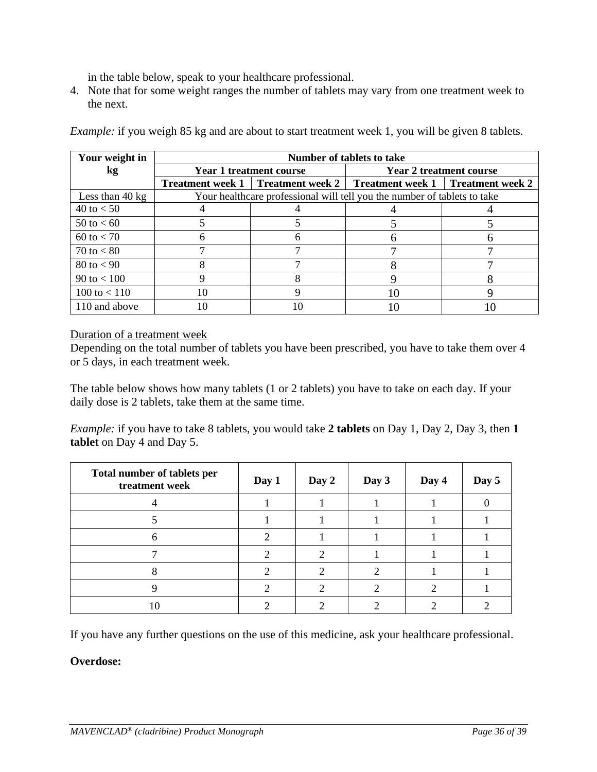in the table below, speak to your healthcare professional.

4. Note that for some weight ranges the number of tablets may vary from one treatment week to the next.

| Your weight in            | Number of tablets to take |                                |                                                                                  |                                |  |  |
|---------------------------|---------------------------|--------------------------------|----------------------------------------------------------------------------------|--------------------------------|--|--|
| kg                        |                           | <b>Year 1 treatment course</b> |                                                                                  | <b>Year 2 treatment course</b> |  |  |
|                           |                           |                                | <b>Treatment week 1</b>   Treatment week 2   Treatment week 1   Treatment week 2 |                                |  |  |
| Less than $40 \text{ kg}$ |                           |                                | Your healthcare professional will tell you the number of tablets to take         |                                |  |  |
| 40 to $< 50$              |                           |                                |                                                                                  |                                |  |  |
| 50 to $< 60$              |                           |                                |                                                                                  |                                |  |  |
| $60 \text{ to } 50$       |                           |                                |                                                                                  |                                |  |  |
| 70 to $< 80$              |                           |                                |                                                                                  |                                |  |  |
| $80 \text{ to } < 90$     |                           |                                |                                                                                  |                                |  |  |
| 90 to $< 100$             |                           | 8                              |                                                                                  |                                |  |  |
| 100 to $< 110$            | 10                        |                                | 10                                                                               |                                |  |  |
| 110 and above             |                           | 10                             |                                                                                  |                                |  |  |

*Example:* if you weigh 85 kg and are about to start treatment week 1, you will be given 8 tablets.

### Duration of a treatment week

Depending on the total number of tablets you have been prescribed, you have to take them over 4 or 5 days, in each treatment week.

The table below shows how many tablets (1 or 2 tablets) you have to take on each day. If your daily dose is 2 tablets, take them at the same time.

*Example:* if you have to take 8 tablets, you would take **2 tablets** on Day 1, Day 2, Day 3, then **1 tablet** on Day 4 and Day 5.

| Total number of tablets per<br>treatment week | Day 1 | Day 2 | Day 3 | Day 4 | Day 5 |
|-----------------------------------------------|-------|-------|-------|-------|-------|
|                                               |       |       |       |       |       |
|                                               |       |       |       |       |       |
| h                                             |       |       |       |       |       |
|                                               |       | 2     |       |       |       |
|                                               |       |       |       |       |       |
|                                               |       |       |       |       |       |
|                                               |       |       |       |       |       |

If you have any further questions on the use of this medicine, ask your healthcare professional.

# **Overdose:**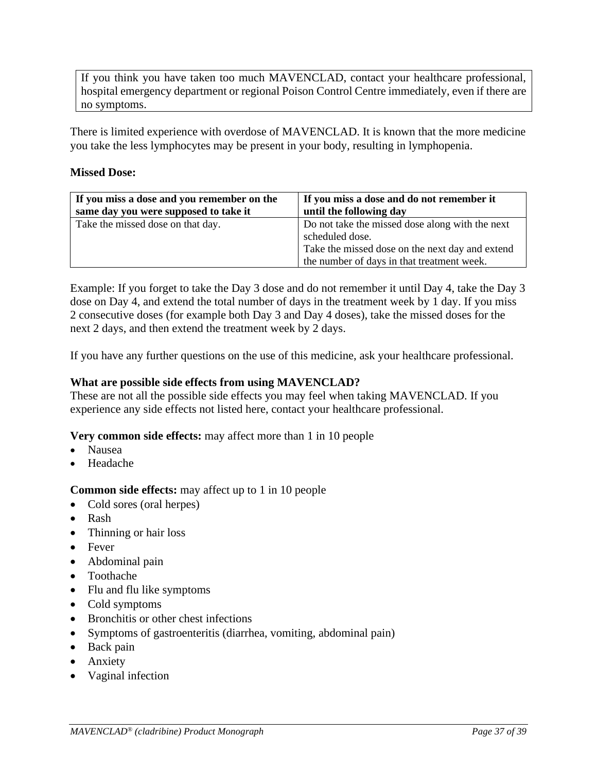If you think you have taken too much MAVENCLAD, contact your healthcare professional, hospital emergency department or regional Poison Control Centre immediately, even if there are no symptoms.

There is limited experience with overdose of MAVENCLAD. It is known that the more medicine you take the less lymphocytes may be present in your body, resulting in lymphopenia.

### **Missed Dose:**

| If you miss a dose and you remember on the | If you miss a dose and do not remember it                                                                                                                           |
|--------------------------------------------|---------------------------------------------------------------------------------------------------------------------------------------------------------------------|
| same day you were supposed to take it      | until the following day                                                                                                                                             |
| Take the missed dose on that day.          | Do not take the missed dose along with the next<br>scheduled dose.<br>Take the missed dose on the next day and extend<br>the number of days in that treatment week. |

Example: If you forget to take the Day 3 dose and do not remember it until Day 4, take the Day 3 dose on Day 4, and extend the total number of days in the treatment week by 1 day. If you miss 2 consecutive doses (for example both Day 3 and Day 4 doses), take the missed doses for the next 2 days, and then extend the treatment week by 2 days.

If you have any further questions on the use of this medicine, ask your healthcare professional.

### **What are possible side effects from using MAVENCLAD?**

These are not all the possible side effects you may feel when taking MAVENCLAD. If you experience any side effects not listed here, contact your healthcare professional.

**Very common side effects:** may affect more than 1 in 10 people

- Nausea
- Headache

**Common side effects:** may affect up to 1 in 10 people

- Cold sores (oral herpes)
- Rash
- Thinning or hair loss
- Fever
- Abdominal pain
- Toothache
- Flu and flu like symptoms
- Cold symptoms
- Bronchitis or other chest infections
- Symptoms of gastroenteritis (diarrhea, vomiting, abdominal pain)
- Back pain
- Anxiety
- Vaginal infection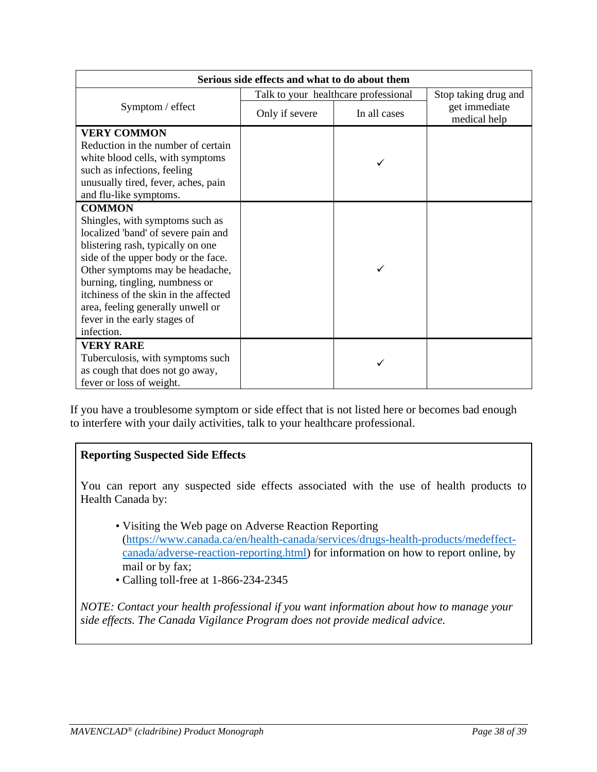| Serious side effects and what to do about them |                                      |              |                               |
|------------------------------------------------|--------------------------------------|--------------|-------------------------------|
|                                                | Talk to your healthcare professional |              | Stop taking drug and          |
| Symptom / effect                               | Only if severe                       | In all cases | get immediate<br>medical help |
| <b>VERY COMMON</b>                             |                                      |              |                               |
| Reduction in the number of certain             |                                      |              |                               |
| white blood cells, with symptoms               |                                      |              |                               |
| such as infections, feeling                    |                                      |              |                               |
| unusually tired, fever, aches, pain            |                                      |              |                               |
| and flu-like symptoms.                         |                                      |              |                               |
| <b>COMMON</b>                                  |                                      |              |                               |
| Shingles, with symptoms such as                |                                      |              |                               |
| localized 'band' of severe pain and            |                                      |              |                               |
| blistering rash, typically on one              |                                      |              |                               |
| side of the upper body or the face.            |                                      |              |                               |
| Other symptoms may be headache,                |                                      |              |                               |
| burning, tingling, numbness or                 |                                      |              |                               |
| itchiness of the skin in the affected          |                                      |              |                               |
| area, feeling generally unwell or              |                                      |              |                               |
| fever in the early stages of<br>infection.     |                                      |              |                               |
|                                                |                                      |              |                               |
| <b>VERY RARE</b>                               |                                      |              |                               |
| Tuberculosis, with symptoms such               |                                      |              |                               |
| as cough that does not go away,                |                                      |              |                               |
| fever or loss of weight.                       |                                      |              |                               |

If you have a troublesome symptom or side effect that is not listed here or becomes bad enough to interfere with your daily activities, talk to your healthcare professional.

# **Reporting Suspected Side Effects**

You can report any suspected side effects associated with the use of health products to Health Canada by:

- Visiting the Web page on Adverse Reaction Reporting [\(https://www.canada.ca/en/health-canada/services/drugs-health-products/medeffect](https://urldefense.proofpoint.com/v2/url?u=https-3A__www.canada.ca_en_health-2Dcanada_services_drugs-2Dhealth-2Dproducts_medeffect-2Dcanada_adverse-2Dreaction-2Dreporting.html&d=DwMFAw&c=ZbgFmJjg4pdtrnL2HUJUDw&r=PSZ-UVnySxHl_T0Y0ccJezuwqhglLIoHV3DJ0AwKgv4&m=u25A5wXNC8dJ6OxBRbBI-O-M3sjFG4wqL6qS15Z2fvk&s=69gITvr84IowDNLs7IpCDJabmvMGsdrqZDBEScLlWhs&e=)[canada/adverse-reaction-reporting.html\)](https://urldefense.proofpoint.com/v2/url?u=https-3A__www.canada.ca_en_health-2Dcanada_services_drugs-2Dhealth-2Dproducts_medeffect-2Dcanada_adverse-2Dreaction-2Dreporting.html&d=DwMFAw&c=ZbgFmJjg4pdtrnL2HUJUDw&r=PSZ-UVnySxHl_T0Y0ccJezuwqhglLIoHV3DJ0AwKgv4&m=u25A5wXNC8dJ6OxBRbBI-O-M3sjFG4wqL6qS15Z2fvk&s=69gITvr84IowDNLs7IpCDJabmvMGsdrqZDBEScLlWhs&e=) for information on how to report online, by mail or by fax;
- Calling toll-free at 1-866-234-2345

*NOTE: Contact your health professional if you want information about how to manage your side effects. The Canada Vigilance Program does not provide medical advice.*